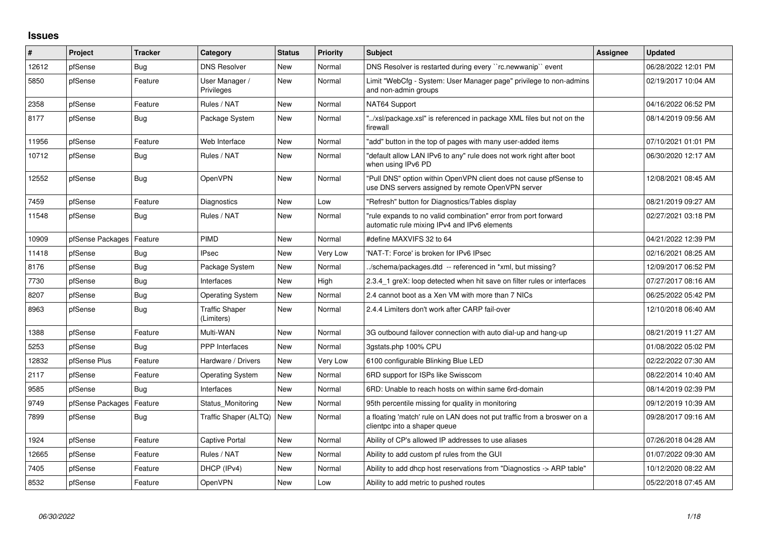## **Issues**

| #     | Project          | <b>Tracker</b> | Category                            | <b>Status</b> | <b>Priority</b> | <b>Subject</b>                                                                                                         | <b>Assignee</b> | <b>Updated</b>      |
|-------|------------------|----------------|-------------------------------------|---------------|-----------------|------------------------------------------------------------------------------------------------------------------------|-----------------|---------------------|
| 12612 | pfSense          | Bug            | <b>DNS Resolver</b>                 | <b>New</b>    | Normal          | DNS Resolver is restarted during every "rc.newwanip" event                                                             |                 | 06/28/2022 12:01 PM |
| 5850  | pfSense          | Feature        | User Manager /<br>Privileges        | <b>New</b>    | Normal          | Limit "WebCfg - System: User Manager page" privilege to non-admins<br>and non-admin groups                             |                 | 02/19/2017 10:04 AM |
| 2358  | pfSense          | Feature        | Rules / NAT                         | <b>New</b>    | Normal          | NAT64 Support                                                                                                          |                 | 04/16/2022 06:52 PM |
| 8177  | pfSense          | Bug            | Package System                      | <b>New</b>    | Normal          | "/xsl/package.xsl" is referenced in package XML files but not on the<br>firewall                                       |                 | 08/14/2019 09:56 AM |
| 11956 | pfSense          | Feature        | Web Interface                       | <b>New</b>    | Normal          | "add" button in the top of pages with many user-added items                                                            |                 | 07/10/2021 01:01 PM |
| 10712 | pfSense          | Bug            | Rules / NAT                         | <b>New</b>    | Normal          | "default allow LAN IPv6 to any" rule does not work right after boot<br>when using IPv6 PD                              |                 | 06/30/2020 12:17 AM |
| 12552 | pfSense          | <b>Bug</b>     | <b>OpenVPN</b>                      | <b>New</b>    | Normal          | "Pull DNS" option within OpenVPN client does not cause pfSense to<br>use DNS servers assigned by remote OpenVPN server |                 | 12/08/2021 08:45 AM |
| 7459  | pfSense          | Feature        | Diagnostics                         | <b>New</b>    | Low             | "Refresh" button for Diagnostics/Tables display                                                                        |                 | 08/21/2019 09:27 AM |
| 11548 | pfSense          | Bug            | Rules / NAT                         | <b>New</b>    | Normal          | "rule expands to no valid combination" error from port forward<br>automatic rule mixing IPv4 and IPv6 elements         |                 | 02/27/2021 03:18 PM |
| 10909 | pfSense Packages | Feature        | <b>PIMD</b>                         | <b>New</b>    | Normal          | #define MAXVIFS 32 to 64                                                                                               |                 | 04/21/2022 12:39 PM |
| 11418 | pfSense          | Bug            | <b>IPsec</b>                        | <b>New</b>    | Very Low        | 'NAT-T: Force' is broken for IPv6 IPsec                                                                                |                 | 02/16/2021 08:25 AM |
| 8176  | pfSense          | Bug            | Package System                      | <b>New</b>    | Normal          | ./schema/packages.dtd -- referenced in *xml, but missing?                                                              |                 | 12/09/2017 06:52 PM |
| 7730  | pfSense          | Bug            | Interfaces                          | <b>New</b>    | High            | 2.3.4_1 greX: loop detected when hit save on filter rules or interfaces                                                |                 | 07/27/2017 08:16 AM |
| 8207  | pfSense          | <b>Bug</b>     | Operating System                    | <b>New</b>    | Normal          | 2.4 cannot boot as a Xen VM with more than 7 NICs                                                                      |                 | 06/25/2022 05:42 PM |
| 8963  | pfSense          | <b>Bug</b>     | <b>Traffic Shaper</b><br>(Limiters) | New           | Normal          | 2.4.4 Limiters don't work after CARP fail-over                                                                         |                 | 12/10/2018 06:40 AM |
| 1388  | pfSense          | Feature        | Multi-WAN                           | <b>New</b>    | Normal          | 3G outbound failover connection with auto dial-up and hang-up                                                          |                 | 08/21/2019 11:27 AM |
| 5253  | pfSense          | Bug            | <b>PPP</b> Interfaces               | <b>New</b>    | Normal          | 3qstats.php 100% CPU                                                                                                   |                 | 01/08/2022 05:02 PM |
| 12832 | pfSense Plus     | Feature        | Hardware / Drivers                  | <b>New</b>    | Very Low        | 6100 configurable Blinking Blue LED                                                                                    |                 | 02/22/2022 07:30 AM |
| 2117  | pfSense          | Feature        | Operating System                    | <b>New</b>    | Normal          | 6RD support for ISPs like Swisscom                                                                                     |                 | 08/22/2014 10:40 AM |
| 9585  | pfSense          | Bug            | Interfaces                          | <b>New</b>    | Normal          | 6RD: Unable to reach hosts on within same 6rd-domain                                                                   |                 | 08/14/2019 02:39 PM |
| 9749  | pfSense Packages | Feature        | Status Monitoring                   | <b>New</b>    | Normal          | 95th percentile missing for quality in monitoring                                                                      |                 | 09/12/2019 10:39 AM |
| 7899  | pfSense          | Bug            | Traffic Shaper (ALTQ)               | New           | Normal          | a floating 'match' rule on LAN does not put traffic from a broswer on a<br>clientpc into a shaper queue                |                 | 09/28/2017 09:16 AM |
| 1924  | pfSense          | Feature        | Captive Portal                      | <b>New</b>    | Normal          | Ability of CP's allowed IP addresses to use aliases                                                                    |                 | 07/26/2018 04:28 AM |
| 12665 | pfSense          | Feature        | Rules / NAT                         | <b>New</b>    | Normal          | Ability to add custom pf rules from the GUI                                                                            |                 | 01/07/2022 09:30 AM |
| 7405  | pfSense          | Feature        | DHCP (IPv4)                         | <b>New</b>    | Normal          | Ability to add dhcp host reservations from "Diagnostics -> ARP table"                                                  |                 | 10/12/2020 08:22 AM |
| 8532  | pfSense          | Feature        | OpenVPN                             | <b>New</b>    | Low             | Ability to add metric to pushed routes                                                                                 |                 | 05/22/2018 07:45 AM |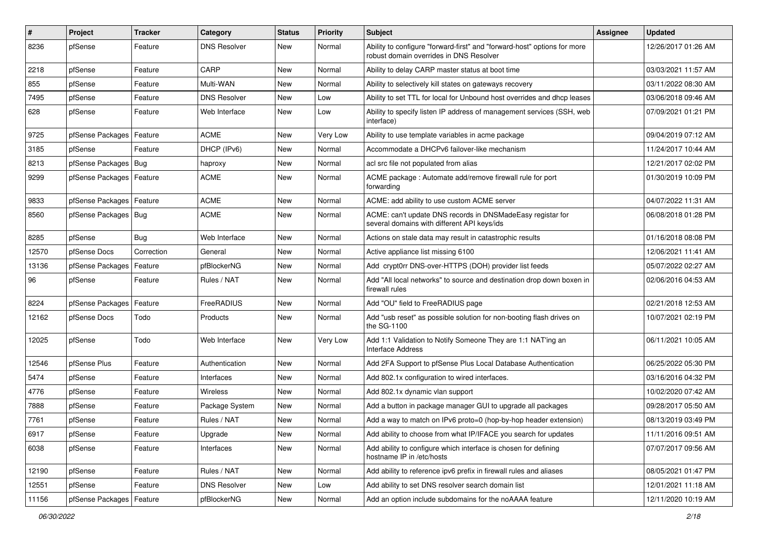| $\vert$ # | Project                | <b>Tracker</b> | Category            | <b>Status</b> | <b>Priority</b> | Subject                                                                                                             | Assignee | <b>Updated</b>      |
|-----------|------------------------|----------------|---------------------|---------------|-----------------|---------------------------------------------------------------------------------------------------------------------|----------|---------------------|
| 8236      | pfSense                | Feature        | DNS Resolver        | New           | Normal          | Ability to configure "forward-first" and "forward-host" options for more<br>robust domain overrides in DNS Resolver |          | 12/26/2017 01:26 AM |
| 2218      | pfSense                | Feature        | CARP                | New           | Normal          | Ability to delay CARP master status at boot time                                                                    |          | 03/03/2021 11:57 AM |
| 855       | pfSense                | Feature        | Multi-WAN           | New           | Normal          | Ability to selectively kill states on gateways recovery                                                             |          | 03/11/2022 08:30 AM |
| 7495      | pfSense                | Feature        | <b>DNS Resolver</b> | <b>New</b>    | Low             | Ability to set TTL for local for Unbound host overrides and dhcp leases                                             |          | 03/06/2018 09:46 AM |
| 628       | pfSense                | Feature        | Web Interface       | <b>New</b>    | Low             | Ability to specify listen IP address of management services (SSH, web<br>interface)                                 |          | 07/09/2021 01:21 PM |
| 9725      | pfSense Packages       | Feature        | <b>ACME</b>         | <b>New</b>    | Very Low        | Ability to use template variables in acme package                                                                   |          | 09/04/2019 07:12 AM |
| 3185      | pfSense                | Feature        | DHCP (IPv6)         | New           | Normal          | Accommodate a DHCPv6 failover-like mechanism                                                                        |          | 11/24/2017 10:44 AM |
| 8213      | pfSense Packages   Bug |                | haproxy             | New           | Normal          | acl src file not populated from alias                                                                               |          | 12/21/2017 02:02 PM |
| 9299      | pfSense Packages       | Feature        | <b>ACME</b>         | New           | Normal          | ACME package: Automate add/remove firewall rule for port<br>forwarding                                              |          | 01/30/2019 10:09 PM |
| 9833      | pfSense Packages       | Feature        | <b>ACME</b>         | <b>New</b>    | Normal          | ACME: add ability to use custom ACME server                                                                         |          | 04/07/2022 11:31 AM |
| 8560      | pfSense Packages   Bug |                | <b>ACME</b>         | New           | Normal          | ACME: can't update DNS records in DNSMadeEasy registar for<br>several domains with different API keys/ids           |          | 06/08/2018 01:28 PM |
| 8285      | pfSense                | Bug            | Web Interface       | <b>New</b>    | Normal          | Actions on stale data may result in catastrophic results                                                            |          | 01/16/2018 08:08 PM |
| 12570     | pfSense Docs           | Correction     | General             | New           | Normal          | Active appliance list missing 6100                                                                                  |          | 12/06/2021 11:41 AM |
| 13136     | pfSense Packages       | Feature        | pfBlockerNG         | New           | Normal          | Add crypt0rr DNS-over-HTTPS (DOH) provider list feeds                                                               |          | 05/07/2022 02:27 AM |
| 96        | pfSense                | Feature        | Rules / NAT         | New           | Normal          | Add "All local networks" to source and destination drop down boxen in<br>firewall rules                             |          | 02/06/2016 04:53 AM |
| 8224      | pfSense Packages       | Feature        | FreeRADIUS          | <b>New</b>    | Normal          | Add "OU" field to FreeRADIUS page                                                                                   |          | 02/21/2018 12:53 AM |
| 12162     | pfSense Docs           | Todo           | Products            | New           | Normal          | Add "usb reset" as possible solution for non-booting flash drives on<br>the SG-1100                                 |          | 10/07/2021 02:19 PM |
| 12025     | pfSense                | Todo           | Web Interface       | <b>New</b>    | Very Low        | Add 1:1 Validation to Notify Someone They are 1:1 NAT'ing an<br><b>Interface Address</b>                            |          | 06/11/2021 10:05 AM |
| 12546     | pfSense Plus           | Feature        | Authentication      | New           | Normal          | Add 2FA Support to pfSense Plus Local Database Authentication                                                       |          | 06/25/2022 05:30 PM |
| 5474      | pfSense                | Feature        | Interfaces          | <b>New</b>    | Normal          | Add 802.1x configuration to wired interfaces.                                                                       |          | 03/16/2016 04:32 PM |
| 4776      | pfSense                | Feature        | Wireless            | New           | Normal          | Add 802.1x dynamic vlan support                                                                                     |          | 10/02/2020 07:42 AM |
| 7888      | pfSense                | Feature        | Package System      | <b>New</b>    | Normal          | Add a button in package manager GUI to upgrade all packages                                                         |          | 09/28/2017 05:50 AM |
| 7761      | pfSense                | Feature        | Rules / NAT         | New           | Normal          | Add a way to match on IPv6 proto=0 (hop-by-hop header extension)                                                    |          | 08/13/2019 03:49 PM |
| 6917      | pfSense                | Feature        | Upgrade             | New           | Normal          | Add ability to choose from what IP/IFACE you search for updates                                                     |          | 11/11/2016 09:51 AM |
| 6038      | pfSense                | Feature        | Interfaces          | New           | Normal          | Add ability to configure which interface is chosen for defining<br>hostname IP in /etc/hosts                        |          | 07/07/2017 09:56 AM |
| 12190     | pfSense                | Feature        | Rules / NAT         | New           | Normal          | Add ability to reference ipv6 prefix in firewall rules and aliases                                                  |          | 08/05/2021 01:47 PM |
| 12551     | pfSense                | Feature        | <b>DNS Resolver</b> | New           | Low             | Add ability to set DNS resolver search domain list                                                                  |          | 12/01/2021 11:18 AM |
| 11156     | pfSense Packages       | Feature        | pfBlockerNG         | New           | Normal          | Add an option include subdomains for the noAAAA feature                                                             |          | 12/11/2020 10:19 AM |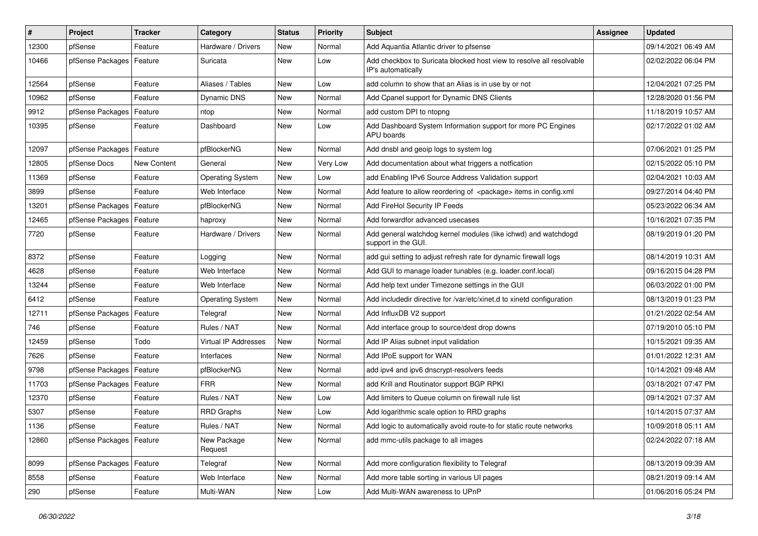| $\vert$ # | Project                    | <b>Tracker</b> | Category                | <b>Status</b> | Priority | Subject                                                                                    | <b>Assignee</b> | <b>Updated</b>      |
|-----------|----------------------------|----------------|-------------------------|---------------|----------|--------------------------------------------------------------------------------------------|-----------------|---------------------|
| 12300     | pfSense                    | Feature        | Hardware / Drivers      | New           | Normal   | Add Aquantia Atlantic driver to pfsense                                                    |                 | 09/14/2021 06:49 AM |
| 10466     | pfSense Packages   Feature |                | Suricata                | New           | Low      | Add checkbox to Suricata blocked host view to resolve all resolvable<br>IP's automatically |                 | 02/02/2022 06:04 PM |
| 12564     | pfSense                    | Feature        | Aliases / Tables        | <b>New</b>    | Low      | add column to show that an Alias is in use by or not                                       |                 | 12/04/2021 07:25 PM |
| 10962     | pfSense                    | Feature        | Dynamic DNS             | <b>New</b>    | Normal   | Add Cpanel support for Dynamic DNS Clients                                                 |                 | 12/28/2020 01:56 PM |
| 9912      | pfSense Packages           | Feature        | ntop                    | <b>New</b>    | Normal   | add custom DPI to ntopng                                                                   |                 | 11/18/2019 10:57 AM |
| 10395     | pfSense                    | Feature        | Dashboard               | New           | Low      | Add Dashboard System Information support for more PC Engines<br>APU boards                 |                 | 02/17/2022 01:02 AM |
| 12097     | pfSense Packages           | Feature        | pfBlockerNG             | New           | Normal   | Add dnsbl and geoip logs to system log                                                     |                 | 07/06/2021 01:25 PM |
| 12805     | pfSense Docs               | New Content    | General                 | <b>New</b>    | Very Low | Add documentation about what triggers a notfication                                        |                 | 02/15/2022 05:10 PM |
| 11369     | pfSense                    | Feature        | Operating System        | New           | Low      | add Enabling IPv6 Source Address Validation support                                        |                 | 02/04/2021 10:03 AM |
| 3899      | pfSense                    | Feature        | Web Interface           | <b>New</b>    | Normal   | Add feature to allow reordering of <package> items in config.xml</package>                 |                 | 09/27/2014 04:40 PM |
| 13201     | pfSense Packages           | Feature        | pfBlockerNG             | <b>New</b>    | Normal   | Add FireHol Security IP Feeds                                                              |                 | 05/23/2022 06:34 AM |
| 12465     | pfSense Packages           | Feature        | haproxy                 | <b>New</b>    | Normal   | Add forwardfor advanced usecases                                                           |                 | 10/16/2021 07:35 PM |
| 7720      | pfSense                    | Feature        | Hardware / Drivers      | New           | Normal   | Add general watchdog kernel modules (like ichwd) and watchdogd<br>support in the GUI.      |                 | 08/19/2019 01:20 PM |
| 8372      | pfSense                    | Feature        | Logging                 | New           | Normal   | add gui setting to adjust refresh rate for dynamic firewall logs                           |                 | 08/14/2019 10:31 AM |
| 4628      | pfSense                    | Feature        | Web Interface           | <b>New</b>    | Normal   | Add GUI to manage loader tunables (e.g. loader.conf.local)                                 |                 | 09/16/2015 04:28 PM |
| 13244     | pfSense                    | Feature        | Web Interface           | New           | Normal   | Add help text under Timezone settings in the GUI                                           |                 | 06/03/2022 01:00 PM |
| 6412      | pfSense                    | Feature        | <b>Operating System</b> | <b>New</b>    | Normal   | Add includedir directive for /var/etc/xinet.d to xinetd configuration                      |                 | 08/13/2019 01:23 PM |
| 12711     | pfSense Packages           | Feature        | Telegraf                | <b>New</b>    | Normal   | Add InfluxDB V2 support                                                                    |                 | 01/21/2022 02:54 AM |
| 746       | pfSense                    | Feature        | Rules / NAT             | New           | Normal   | Add interface group to source/dest drop downs                                              |                 | 07/19/2010 05:10 PM |
| 12459     | pfSense                    | Todo           | Virtual IP Addresses    | New           | Normal   | Add IP Alias subnet input validation                                                       |                 | 10/15/2021 09:35 AM |
| 7626      | pfSense                    | Feature        | Interfaces              | New           | Normal   | Add IPoE support for WAN                                                                   |                 | 01/01/2022 12:31 AM |
| 9798      | pfSense Packages           | Feature        | pfBlockerNG             | <b>New</b>    | Normal   | add ipv4 and ipv6 dnscrypt-resolvers feeds                                                 |                 | 10/14/2021 09:48 AM |
| 11703     | pfSense Packages           | Feature        | <b>FRR</b>              | <b>New</b>    | Normal   | add Krill and Routinator support BGP RPKI                                                  |                 | 03/18/2021 07:47 PM |
| 12370     | pfSense                    | Feature        | Rules / NAT             | <b>New</b>    | Low      | Add limiters to Queue column on firewall rule list                                         |                 | 09/14/2021 07:37 AM |
| 5307      | pfSense                    | Feature        | <b>RRD Graphs</b>       | New           | Low      | Add logarithmic scale option to RRD graphs                                                 |                 | 10/14/2015 07:37 AM |
| 1136      | pfSense                    | Feature        | Rules / NAT             | New           | Normal   | Add logic to automatically avoid route-to for static route networks                        |                 | 10/09/2018 05:11 AM |
| 12860     | pfSense Packages   Feature |                | New Package<br>Request  | New           | Normal   | add mmc-utils package to all images                                                        |                 | 02/24/2022 07:18 AM |
| 8099      | pfSense Packages   Feature |                | Telegraf                | New           | Normal   | Add more configuration flexibility to Telegraf                                             |                 | 08/13/2019 09:39 AM |
| 8558      | pfSense                    | Feature        | Web Interface           | New           | Normal   | Add more table sorting in various UI pages                                                 |                 | 08/21/2019 09:14 AM |
| 290       | pfSense                    | Feature        | Multi-WAN               | New           | Low      | Add Multi-WAN awareness to UPnP                                                            |                 | 01/06/2016 05:24 PM |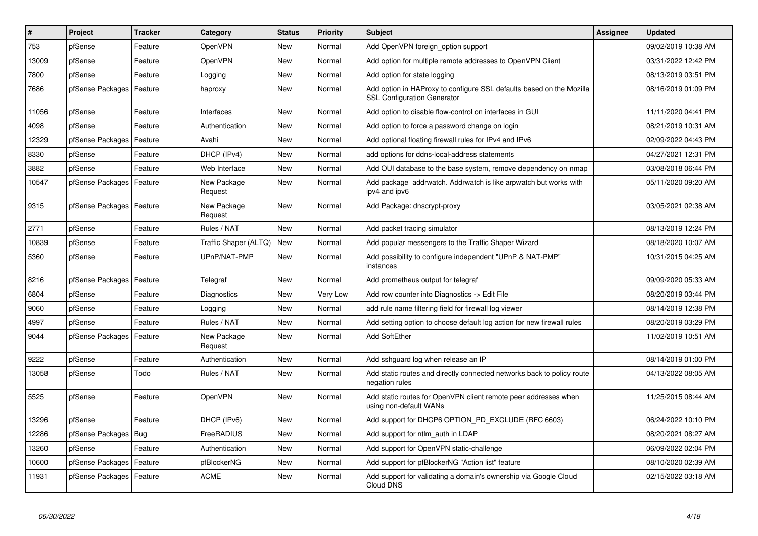| $\vert$ # | Project                    | <b>Tracker</b> | Category               | <b>Status</b> | <b>Priority</b> | <b>Subject</b>                                                                                             | <b>Assignee</b> | <b>Updated</b>      |
|-----------|----------------------------|----------------|------------------------|---------------|-----------------|------------------------------------------------------------------------------------------------------------|-----------------|---------------------|
| 753       | pfSense                    | Feature        | OpenVPN                | <b>New</b>    | Normal          | Add OpenVPN foreign_option support                                                                         |                 | 09/02/2019 10:38 AM |
| 13009     | pfSense                    | Feature        | OpenVPN                | <b>New</b>    | Normal          | Add option for multiple remote addresses to OpenVPN Client                                                 |                 | 03/31/2022 12:42 PM |
| 7800      | pfSense                    | Feature        | Logging                | <b>New</b>    | Normal          | Add option for state logging                                                                               |                 | 08/13/2019 03:51 PM |
| 7686      | pfSense Packages           | Feature        | haproxy                | <b>New</b>    | Normal          | Add option in HAProxy to configure SSL defaults based on the Mozilla<br><b>SSL Configuration Generator</b> |                 | 08/16/2019 01:09 PM |
| 11056     | pfSense                    | Feature        | Interfaces             | <b>New</b>    | Normal          | Add option to disable flow-control on interfaces in GUI                                                    |                 | 11/11/2020 04:41 PM |
| 4098      | pfSense                    | Feature        | Authentication         | <b>New</b>    | Normal          | Add option to force a password change on login                                                             |                 | 08/21/2019 10:31 AM |
| 12329     | pfSense Packages           | Feature        | Avahi                  | <b>New</b>    | Normal          | Add optional floating firewall rules for IPv4 and IPv6                                                     |                 | 02/09/2022 04:43 PM |
| 8330      | pfSense                    | Feature        | DHCP (IPv4)            | <b>New</b>    | Normal          | add options for ddns-local-address statements                                                              |                 | 04/27/2021 12:31 PM |
| 3882      | pfSense                    | Feature        | Web Interface          | <b>New</b>    | Normal          | Add OUI database to the base system, remove dependency on nmap                                             |                 | 03/08/2018 06:44 PM |
| 10547     | pfSense Packages           | Feature        | New Package<br>Request | <b>New</b>    | Normal          | Add package addrwatch. Addrwatch is like arpwatch but works with<br>ipv4 and ipv6                          |                 | 05/11/2020 09:20 AM |
| 9315      | pfSense Packages   Feature |                | New Package<br>Request | <b>New</b>    | Normal          | Add Package: dnscrypt-proxy                                                                                |                 | 03/05/2021 02:38 AM |
| 2771      | pfSense                    | Feature        | Rules / NAT            | <b>New</b>    | Normal          | Add packet tracing simulator                                                                               |                 | 08/13/2019 12:24 PM |
| 10839     | pfSense                    | Feature        | Traffic Shaper (ALTQ)  | <b>New</b>    | Normal          | Add popular messengers to the Traffic Shaper Wizard                                                        |                 | 08/18/2020 10:07 AM |
| 5360      | pfSense                    | Feature        | UPnP/NAT-PMP           | <b>New</b>    | Normal          | Add possibility to configure independent "UPnP & NAT-PMP"<br>instances                                     |                 | 10/31/2015 04:25 AM |
| 8216      | pfSense Packages           | Feature        | Telegraf               | <b>New</b>    | Normal          | Add prometheus output for telegraf                                                                         |                 | 09/09/2020 05:33 AM |
| 6804      | pfSense                    | Feature        | Diagnostics            | <b>New</b>    | Very Low        | Add row counter into Diagnostics -> Edit File                                                              |                 | 08/20/2019 03:44 PM |
| 9060      | pfSense                    | Feature        | Logging                | <b>New</b>    | Normal          | add rule name filtering field for firewall log viewer                                                      |                 | 08/14/2019 12:38 PM |
| 4997      | pfSense                    | Feature        | Rules / NAT            | <b>New</b>    | Normal          | Add setting option to choose default log action for new firewall rules                                     |                 | 08/20/2019 03:29 PM |
| 9044      | pfSense Packages           | Feature        | New Package<br>Request | <b>New</b>    | Normal          | <b>Add SoftEther</b>                                                                                       |                 | 11/02/2019 10:51 AM |
| 9222      | pfSense                    | Feature        | Authentication         | <b>New</b>    | Normal          | Add sshguard log when release an IP                                                                        |                 | 08/14/2019 01:00 PM |
| 13058     | pfSense                    | Todo           | Rules / NAT            | New           | Normal          | Add static routes and directly connected networks back to policy route<br>negation rules                   |                 | 04/13/2022 08:05 AM |
| 5525      | pfSense                    | Feature        | OpenVPN                | <b>New</b>    | Normal          | Add static routes for OpenVPN client remote peer addresses when<br>using non-default WANs                  |                 | 11/25/2015 08:44 AM |
| 13296     | pfSense                    | Feature        | DHCP (IPv6)            | <b>New</b>    | Normal          | Add support for DHCP6 OPTION_PD_EXCLUDE (RFC 6603)                                                         |                 | 06/24/2022 10:10 PM |
| 12286     | pfSense Packages           | <b>Bug</b>     | FreeRADIUS             | <b>New</b>    | Normal          | Add support for ntlm auth in LDAP                                                                          |                 | 08/20/2021 08:27 AM |
| 13260     | pfSense                    | Feature        | Authentication         | <b>New</b>    | Normal          | Add support for OpenVPN static-challenge                                                                   |                 | 06/09/2022 02:04 PM |
| 10600     | pfSense Packages           | Feature        | pfBlockerNG            | New           | Normal          | Add support for pfBlockerNG "Action list" feature                                                          |                 | 08/10/2020 02:39 AM |
| 11931     | pfSense Packages   Feature |                | <b>ACME</b>            | <b>New</b>    | Normal          | Add support for validating a domain's ownership via Google Cloud<br>Cloud DNS                              |                 | 02/15/2022 03:18 AM |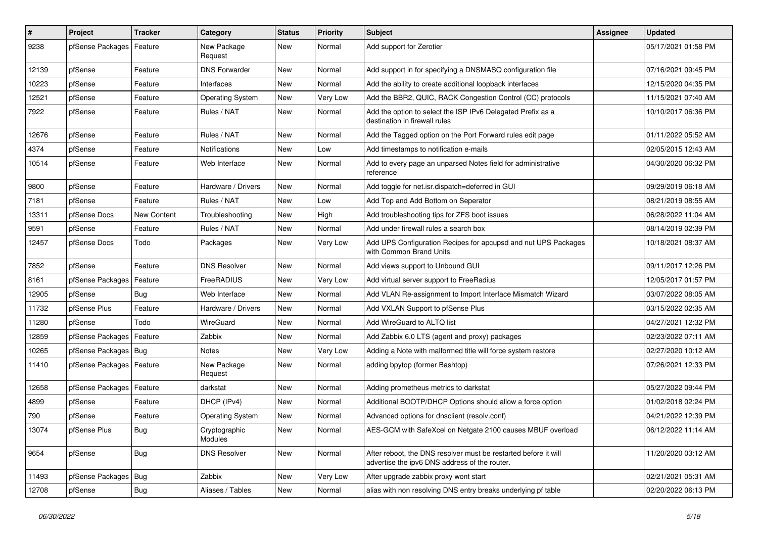| $\vert$ # | Project                    | <b>Tracker</b> | Category                 | <b>Status</b> | <b>Priority</b> | <b>Subject</b>                                                                                                   | <b>Assignee</b> | <b>Updated</b>      |
|-----------|----------------------------|----------------|--------------------------|---------------|-----------------|------------------------------------------------------------------------------------------------------------------|-----------------|---------------------|
| 9238      | pfSense Packages           | Feature        | New Package<br>Request   | New           | Normal          | Add support for Zerotier                                                                                         |                 | 05/17/2021 01:58 PM |
| 12139     | pfSense                    | Feature        | <b>DNS Forwarder</b>     | New           | Normal          | Add support in for specifying a DNSMASQ configuration file                                                       |                 | 07/16/2021 09:45 PM |
| 10223     | pfSense                    | Feature        | Interfaces               | <b>New</b>    | Normal          | Add the ability to create additional loopback interfaces                                                         |                 | 12/15/2020 04:35 PM |
| 12521     | pfSense                    | Feature        | <b>Operating System</b>  | <b>New</b>    | Very Low        | Add the BBR2, QUIC, RACK Congestion Control (CC) protocols                                                       |                 | 11/15/2021 07:40 AM |
| 7922      | pfSense                    | Feature        | Rules / NAT              | New           | Normal          | Add the option to select the ISP IPv6 Delegated Prefix as a<br>destination in firewall rules                     |                 | 10/10/2017 06:36 PM |
| 12676     | pfSense                    | Feature        | Rules / NAT              | <b>New</b>    | Normal          | Add the Tagged option on the Port Forward rules edit page                                                        |                 | 01/11/2022 05:52 AM |
| 4374      | pfSense                    | Feature        | Notifications            | New           | Low             | Add timestamps to notification e-mails                                                                           |                 | 02/05/2015 12:43 AM |
| 10514     | pfSense                    | Feature        | Web Interface            | <b>New</b>    | Normal          | Add to every page an unparsed Notes field for administrative<br>reference                                        |                 | 04/30/2020 06:32 PM |
| 9800      | pfSense                    | Feature        | Hardware / Drivers       | <b>New</b>    | Normal          | Add toggle for net.isr.dispatch=deferred in GUI                                                                  |                 | 09/29/2019 06:18 AM |
| 7181      | pfSense                    | Feature        | Rules / NAT              | <b>New</b>    | Low             | Add Top and Add Bottom on Seperator                                                                              |                 | 08/21/2019 08:55 AM |
| 13311     | pfSense Docs               | New Content    | Troubleshooting          | <b>New</b>    | High            | Add troubleshooting tips for ZFS boot issues                                                                     |                 | 06/28/2022 11:04 AM |
| 9591      | pfSense                    | Feature        | Rules / NAT              | <b>New</b>    | Normal          | Add under firewall rules a search box                                                                            |                 | 08/14/2019 02:39 PM |
| 12457     | pfSense Docs               | Todo           | Packages                 | New           | Very Low        | Add UPS Configuration Recipes for apcupsd and nut UPS Packages<br>with Common Brand Units                        |                 | 10/18/2021 08:37 AM |
| 7852      | pfSense                    | Feature        | <b>DNS Resolver</b>      | <b>New</b>    | Normal          | Add views support to Unbound GUI                                                                                 |                 | 09/11/2017 12:26 PM |
| 8161      | pfSense Packages           | Feature        | FreeRADIUS               | New           | Very Low        | Add virtual server support to FreeRadius                                                                         |                 | 12/05/2017 01:57 PM |
| 12905     | pfSense                    | <b>Bug</b>     | Web Interface            | <b>New</b>    | Normal          | Add VLAN Re-assignment to Import Interface Mismatch Wizard                                                       |                 | 03/07/2022 08:05 AM |
| 11732     | pfSense Plus               | Feature        | Hardware / Drivers       | <b>New</b>    | Normal          | Add VXLAN Support to pfSense Plus                                                                                |                 | 03/15/2022 02:35 AM |
| 11280     | pfSense                    | Todo           | WireGuard                | New           | Normal          | Add WireGuard to ALTQ list                                                                                       |                 | 04/27/2021 12:32 PM |
| 12859     | pfSense Packages           | Feature        | Zabbix                   | New           | Normal          | Add Zabbix 6.0 LTS (agent and proxy) packages                                                                    |                 | 02/23/2022 07:11 AM |
| 10265     | pfSense Packages   Bug     |                | Notes                    | New           | Very Low        | Adding a Note with malformed title will force system restore                                                     |                 | 02/27/2020 10:12 AM |
| 11410     | pfSense Packages   Feature |                | New Package<br>Request   | New           | Normal          | adding bpytop (former Bashtop)                                                                                   |                 | 07/26/2021 12:33 PM |
| 12658     | pfSense Packages   Feature |                | darkstat                 | New           | Normal          | Adding prometheus metrics to darkstat                                                                            |                 | 05/27/2022 09:44 PM |
| 4899      | pfSense                    | Feature        | DHCP (IPv4)              | New           | Normal          | Additional BOOTP/DHCP Options should allow a force option                                                        |                 | 01/02/2018 02:24 PM |
| 790       | pfSense                    | Feature        | <b>Operating System</b>  | <b>New</b>    | Normal          | Advanced options for dnsclient (resolv.conf)                                                                     |                 | 04/21/2022 12:39 PM |
| 13074     | pfSense Plus               | Bug            | Cryptographic<br>Modules | New           | Normal          | AES-GCM with SafeXcel on Netgate 2100 causes MBUF overload                                                       |                 | 06/12/2022 11:14 AM |
| 9654      | pfSense                    | Bug            | <b>DNS Resolver</b>      | New           | Normal          | After reboot, the DNS resolver must be restarted before it will<br>advertise the ipv6 DNS address of the router. |                 | 11/20/2020 03:12 AM |
| 11493     | pfSense Packages   Bug     |                | Zabbix                   | New           | Very Low        | After upgrade zabbix proxy wont start                                                                            |                 | 02/21/2021 05:31 AM |
| 12708     | pfSense                    | <b>Bug</b>     | Aliases / Tables         | New           | Normal          | alias with non resolving DNS entry breaks underlying pf table                                                    |                 | 02/20/2022 06:13 PM |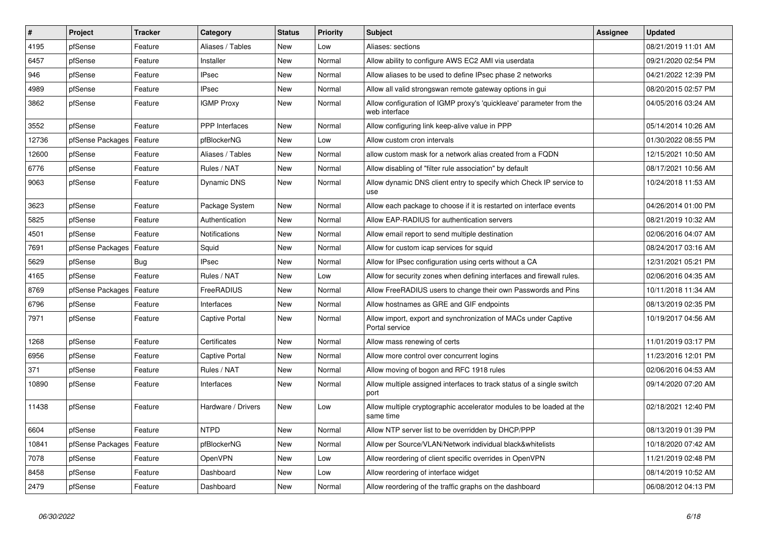| $\sharp$ | Project          | <b>Tracker</b> | Category              | <b>Status</b> | <b>Priority</b> | <b>Subject</b>                                                                       | <b>Assignee</b> | <b>Updated</b>      |
|----------|------------------|----------------|-----------------------|---------------|-----------------|--------------------------------------------------------------------------------------|-----------------|---------------------|
| 4195     | pfSense          | Feature        | Aliases / Tables      | <b>New</b>    | Low             | Aliases: sections                                                                    |                 | 08/21/2019 11:01 AM |
| 6457     | pfSense          | Feature        | Installer             | New           | Normal          | Allow ability to configure AWS EC2 AMI via userdata                                  |                 | 09/21/2020 02:54 PM |
| 946      | pfSense          | Feature        | <b>IPsec</b>          | New           | Normal          | Allow aliases to be used to define IPsec phase 2 networks                            |                 | 04/21/2022 12:39 PM |
| 4989     | pfSense          | Feature        | <b>IPsec</b>          | New           | Normal          | Allow all valid strongswan remote gateway options in gui                             |                 | 08/20/2015 02:57 PM |
| 3862     | pfSense          | Feature        | <b>IGMP Proxy</b>     | New           | Normal          | Allow configuration of IGMP proxy's 'quickleave' parameter from the<br>web interface |                 | 04/05/2016 03:24 AM |
| 3552     | pfSense          | Feature        | <b>PPP</b> Interfaces | <b>New</b>    | Normal          | Allow configuring link keep-alive value in PPP                                       |                 | 05/14/2014 10:26 AM |
| 12736    | pfSense Packages | Feature        | pfBlockerNG           | <b>New</b>    | Low             | Allow custom cron intervals                                                          |                 | 01/30/2022 08:55 PM |
| 12600    | pfSense          | Feature        | Aliases / Tables      | New           | Normal          | allow custom mask for a network alias created from a FQDN                            |                 | 12/15/2021 10:50 AM |
| 6776     | pfSense          | Feature        | Rules / NAT           | New           | Normal          | Allow disabling of "filter rule association" by default                              |                 | 08/17/2021 10:56 AM |
| 9063     | pfSense          | Feature        | Dynamic DNS           | <b>New</b>    | Normal          | Allow dynamic DNS client entry to specify which Check IP service to<br>use           |                 | 10/24/2018 11:53 AM |
| 3623     | pfSense          | Feature        | Package System        | New           | Normal          | Allow each package to choose if it is restarted on interface events                  |                 | 04/26/2014 01:00 PM |
| 5825     | pfSense          | Feature        | Authentication        | <b>New</b>    | Normal          | Allow EAP-RADIUS for authentication servers                                          |                 | 08/21/2019 10:32 AM |
| 4501     | pfSense          | Feature        | Notifications         | <b>New</b>    | Normal          | Allow email report to send multiple destination                                      |                 | 02/06/2016 04:07 AM |
| 7691     | pfSense Packages | Feature        | Squid                 | <b>New</b>    | Normal          | Allow for custom icap services for squid                                             |                 | 08/24/2017 03:16 AM |
| 5629     | pfSense          | Bug            | <b>IPsec</b>          | <b>New</b>    | Normal          | Allow for IPsec configuration using certs without a CA                               |                 | 12/31/2021 05:21 PM |
| 4165     | pfSense          | Feature        | Rules / NAT           | <b>New</b>    | Low             | Allow for security zones when defining interfaces and firewall rules.                |                 | 02/06/2016 04:35 AM |
| 8769     | pfSense Packages | Feature        | FreeRADIUS            | <b>New</b>    | Normal          | Allow FreeRADIUS users to change their own Passwords and Pins                        |                 | 10/11/2018 11:34 AM |
| 6796     | pfSense          | Feature        | Interfaces            | New           | Normal          | Allow hostnames as GRE and GIF endpoints                                             |                 | 08/13/2019 02:35 PM |
| 7971     | pfSense          | Feature        | Captive Portal        | <b>New</b>    | Normal          | Allow import, export and synchronization of MACs under Captive<br>Portal service     |                 | 10/19/2017 04:56 AM |
| 1268     | pfSense          | Feature        | Certificates          | New           | Normal          | Allow mass renewing of certs                                                         |                 | 11/01/2019 03:17 PM |
| 6956     | pfSense          | Feature        | Captive Portal        | <b>New</b>    | Normal          | Allow more control over concurrent logins                                            |                 | 11/23/2016 12:01 PM |
| 371      | pfSense          | Feature        | Rules / NAT           | <b>New</b>    | Normal          | Allow moving of bogon and RFC 1918 rules                                             |                 | 02/06/2016 04:53 AM |
| 10890    | pfSense          | Feature        | Interfaces            | New           | Normal          | Allow multiple assigned interfaces to track status of a single switch<br>port        |                 | 09/14/2020 07:20 AM |
| 11438    | pfSense          | Feature        | Hardware / Drivers    | New           | Low             | Allow multiple cryptographic accelerator modules to be loaded at the<br>same time    |                 | 02/18/2021 12:40 PM |
| 6604     | pfSense          | Feature        | <b>NTPD</b>           | <b>New</b>    | Normal          | Allow NTP server list to be overridden by DHCP/PPP                                   |                 | 08/13/2019 01:39 PM |
| 10841    | pfSense Packages | Feature        | pfBlockerNG           | New           | Normal          | Allow per Source/VLAN/Network individual black&whitelists                            |                 | 10/18/2020 07:42 AM |
| 7078     | pfSense          | Feature        | OpenVPN               | New           | Low             | Allow reordering of client specific overrides in OpenVPN                             |                 | 11/21/2019 02:48 PM |
| 8458     | pfSense          | Feature        | Dashboard             | New           | Low             | Allow reordering of interface widget                                                 |                 | 08/14/2019 10:52 AM |
| 2479     | pfSense          | Feature        | Dashboard             | New           | Normal          | Allow reordering of the traffic graphs on the dashboard                              |                 | 06/08/2012 04:13 PM |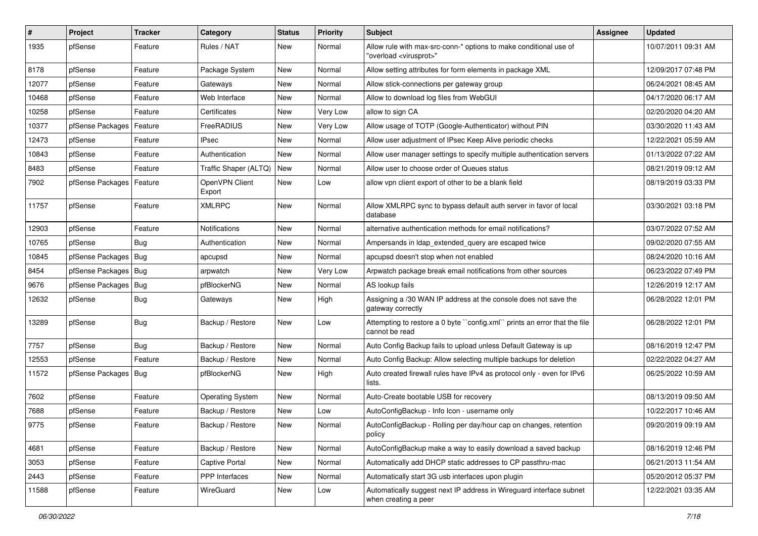| $\sharp$ | Project                | <b>Tracker</b> | Category                 | <b>Status</b> | <b>Priority</b> | Subject                                                                                                 | <b>Assignee</b> | <b>Updated</b>      |
|----------|------------------------|----------------|--------------------------|---------------|-----------------|---------------------------------------------------------------------------------------------------------|-----------------|---------------------|
| 1935     | pfSense                | Feature        | Rules / NAT              | New           | Normal          | Allow rule with max-src-conn-* options to make conditional use of<br>"overload <virusprot>"</virusprot> |                 | 10/07/2011 09:31 AM |
| 8178     | pfSense                | Feature        | Package System           | New           | Normal          | Allow setting attributes for form elements in package XML                                               |                 | 12/09/2017 07:48 PM |
| 12077    | pfSense                | Feature        | Gateways                 | New           | Normal          | Allow stick-connections per gateway group                                                               |                 | 06/24/2021 08:45 AM |
| 10468    | pfSense                | Feature        | Web Interface            | <b>New</b>    | Normal          | Allow to download log files from WebGUI                                                                 |                 | 04/17/2020 06:17 AM |
| 10258    | pfSense                | Feature        | Certificates             | New           | Very Low        | allow to sign CA                                                                                        |                 | 02/20/2020 04:20 AM |
| 10377    | pfSense Packages       | Feature        | FreeRADIUS               | New           | Very Low        | Allow usage of TOTP (Google-Authenticator) without PIN                                                  |                 | 03/30/2020 11:43 AM |
| 12473    | pfSense                | Feature        | IPsec                    | <b>New</b>    | Normal          | Allow user adjustment of IPsec Keep Alive periodic checks                                               |                 | 12/22/2021 05:59 AM |
| 10843    | pfSense                | Feature        | Authentication           | New           | Normal          | Allow user manager settings to specify multiple authentication servers                                  |                 | 01/13/2022 07:22 AM |
| 8483     | pfSense                | Feature        | Traffic Shaper (ALTQ)    | <b>New</b>    | Normal          | Allow user to choose order of Queues status                                                             |                 | 08/21/2019 09:12 AM |
| 7902     | pfSense Packages       | Feature        | OpenVPN Client<br>Export | New           | Low             | allow vpn client export of other to be a blank field                                                    |                 | 08/19/2019 03:33 PM |
| 11757    | pfSense                | Feature        | <b>XMLRPC</b>            | <b>New</b>    | Normal          | Allow XMLRPC sync to bypass default auth server in favor of local<br>database                           |                 | 03/30/2021 03:18 PM |
| 12903    | pfSense                | Feature        | Notifications            | New           | Normal          | alternative authentication methods for email notifications?                                             |                 | 03/07/2022 07:52 AM |
| 10765    | pfSense                | Bug            | Authentication           | <b>New</b>    | Normal          | Ampersands in Idap_extended_query are escaped twice                                                     |                 | 09/02/2020 07:55 AM |
| 10845    | pfSense Packages       | Bug            | apcupsd                  | New           | Normal          | apcupsd doesn't stop when not enabled                                                                   |                 | 08/24/2020 10:16 AM |
| 8454     | pfSense Packages       | Bug            | arpwatch                 | <b>New</b>    | Very Low        | Arpwatch package break email notifications from other sources                                           |                 | 06/23/2022 07:49 PM |
| 9676     | pfSense Packages       | Bug            | pfBlockerNG              | New           | Normal          | AS lookup fails                                                                                         |                 | 12/26/2019 12:17 AM |
| 12632    | pfSense                | <b>Bug</b>     | Gateways                 | New           | High            | Assigning a /30 WAN IP address at the console does not save the<br>gateway correctly                    |                 | 06/28/2022 12:01 PM |
| 13289    | pfSense                | Bug            | Backup / Restore         | New           | Low             | Attempting to restore a 0 byte "config.xml" prints an error that the file<br>cannot be read             |                 | 06/28/2022 12:01 PM |
| 7757     | pfSense                | Bug            | Backup / Restore         | <b>New</b>    | Normal          | Auto Config Backup fails to upload unless Default Gateway is up                                         |                 | 08/16/2019 12:47 PM |
| 12553    | pfSense                | Feature        | Backup / Restore         | New           | Normal          | Auto Config Backup: Allow selecting multiple backups for deletion                                       |                 | 02/22/2022 04:27 AM |
| 11572    | pfSense Packages   Bug |                | pfBlockerNG              | <b>New</b>    | High            | Auto created firewall rules have IPv4 as protocol only - even for IPv6<br>lists.                        |                 | 06/25/2022 10:59 AM |
| 7602     | pfSense                | Feature        | <b>Operating System</b>  | New           | Normal          | Auto-Create bootable USB for recovery                                                                   |                 | 08/13/2019 09:50 AM |
| 7688     | pfSense                | Feature        | Backup / Restore         | <b>New</b>    | Low             | AutoConfigBackup - Info Icon - username only                                                            |                 | 10/22/2017 10:46 AM |
| 9775     | pfSense                | Feature        | Backup / Restore         | New           | Normal          | AutoConfigBackup - Rolling per day/hour cap on changes, retention<br>policy                             |                 | 09/20/2019 09:19 AM |
| 4681     | pfSense                | Feature        | Backup / Restore         | New           | Normal          | AutoConfigBackup make a way to easily download a saved backup                                           |                 | 08/16/2019 12:46 PM |
| 3053     | pfSense                | Feature        | Captive Portal           | New           | Normal          | Automatically add DHCP static addresses to CP passthru-mac                                              |                 | 06/21/2013 11:54 AM |
| 2443     | pfSense                | Feature        | <b>PPP</b> Interfaces    | New           | Normal          | Automatically start 3G usb interfaces upon plugin                                                       |                 | 05/20/2012 05:37 PM |
| 11588    | pfSense                | Feature        | WireGuard                | New           | Low             | Automatically suggest next IP address in Wireguard interface subnet<br>when creating a peer             |                 | 12/22/2021 03:35 AM |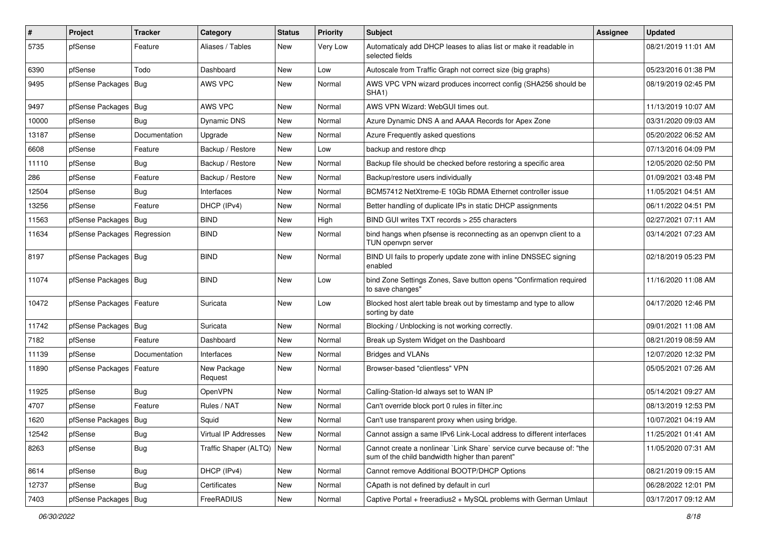| $\vert$ # | Project                | <b>Tracker</b> | Category               | <b>Status</b> | Priority | Subject                                                                                                                 | <b>Assignee</b> | <b>Updated</b>      |
|-----------|------------------------|----------------|------------------------|---------------|----------|-------------------------------------------------------------------------------------------------------------------------|-----------------|---------------------|
| 5735      | pfSense                | Feature        | Aliases / Tables       | New           | Very Low | Automaticaly add DHCP leases to alias list or make it readable in<br>selected fields                                    |                 | 08/21/2019 11:01 AM |
| 6390      | pfSense                | Todo           | Dashboard              | New           | Low      | Autoscale from Traffic Graph not correct size (big graphs)                                                              |                 | 05/23/2016 01:38 PM |
| 9495      | pfSense Packages   Bug |                | AWS VPC                | New           | Normal   | AWS VPC VPN wizard produces incorrect config (SHA256 should be<br>SHA1)                                                 |                 | 08/19/2019 02:45 PM |
| 9497      | pfSense Packages       | Bug            | AWS VPC                | <b>New</b>    | Normal   | AWS VPN Wizard: WebGUI times out.                                                                                       |                 | 11/13/2019 10:07 AM |
| 10000     | pfSense                | <b>Bug</b>     | Dynamic DNS            | New           | Normal   | Azure Dynamic DNS A and AAAA Records for Apex Zone                                                                      |                 | 03/31/2020 09:03 AM |
| 13187     | pfSense                | Documentation  | Upgrade                | <b>New</b>    | Normal   | Azure Frequently asked questions                                                                                        |                 | 05/20/2022 06:52 AM |
| 6608      | pfSense                | Feature        | Backup / Restore       | New           | Low      | backup and restore dhcp                                                                                                 |                 | 07/13/2016 04:09 PM |
| 11110     | pfSense                | Bug            | Backup / Restore       | <b>New</b>    | Normal   | Backup file should be checked before restoring a specific area                                                          |                 | 12/05/2020 02:50 PM |
| 286       | pfSense                | Feature        | Backup / Restore       | New           | Normal   | Backup/restore users individually                                                                                       |                 | 01/09/2021 03:48 PM |
| 12504     | pfSense                | Bug            | Interfaces             | New           | Normal   | BCM57412 NetXtreme-E 10Gb RDMA Ethernet controller issue                                                                |                 | 11/05/2021 04:51 AM |
| 13256     | pfSense                | Feature        | DHCP (IPv4)            | New           | Normal   | Better handling of duplicate IPs in static DHCP assignments                                                             |                 | 06/11/2022 04:51 PM |
| 11563     | pfSense Packages       | Bug            | <b>BIND</b>            | New           | High     | BIND GUI writes TXT records > 255 characters                                                                            |                 | 02/27/2021 07:11 AM |
| 11634     | pfSense Packages       | Regression     | <b>BIND</b>            | New           | Normal   | bind hangs when pfsense is reconnecting as an openvpn client to a<br>TUN openypn server                                 |                 | 03/14/2021 07:23 AM |
| 8197      | pfSense Packages       | Bug            | <b>BIND</b>            | <b>New</b>    | Normal   | BIND UI fails to properly update zone with inline DNSSEC signing<br>enabled                                             |                 | 02/18/2019 05:23 PM |
| 11074     | pfSense Packages   Bug |                | <b>BIND</b>            | New           | Low      | bind Zone Settings Zones, Save button opens "Confirmation required<br>to save changes"                                  |                 | 11/16/2020 11:08 AM |
| 10472     | pfSense Packages       | Feature        | Suricata               | <b>New</b>    | Low      | Blocked host alert table break out by timestamp and type to allow<br>sorting by date                                    |                 | 04/17/2020 12:46 PM |
| 11742     | pfSense Packages   Bug |                | Suricata               | New           | Normal   | Blocking / Unblocking is not working correctly.                                                                         |                 | 09/01/2021 11:08 AM |
| 7182      | pfSense                | Feature        | Dashboard              | <b>New</b>    | Normal   | Break up System Widget on the Dashboard                                                                                 |                 | 08/21/2019 08:59 AM |
| 11139     | pfSense                | Documentation  | Interfaces             | New           | Normal   | Bridges and VLANs                                                                                                       |                 | 12/07/2020 12:32 PM |
| 11890     | pfSense Packages       | Feature        | New Package<br>Request | <b>New</b>    | Normal   | Browser-based "clientless" VPN                                                                                          |                 | 05/05/2021 07:26 AM |
| 11925     | pfSense                | Bug            | <b>OpenVPN</b>         | New           | Normal   | Calling-Station-Id always set to WAN IP                                                                                 |                 | 05/14/2021 09:27 AM |
| 4707      | pfSense                | Feature        | Rules / NAT            | <b>New</b>    | Normal   | Can't override block port 0 rules in filter.inc                                                                         |                 | 08/13/2019 12:53 PM |
| 1620      | pfSense Packages   Bug |                | Squid                  | New           | Normal   | Can't use transparent proxy when using bridge.                                                                          |                 | 10/07/2021 04:19 AM |
| 12542     | pfSense                | Bug            | Virtual IP Addresses   | New           | Normal   | Cannot assign a same IPv6 Link-Local address to different interfaces                                                    |                 | 11/25/2021 01:41 AM |
| 8263      | pfSense                | Bug            | Traffic Shaper (ALTQ)  | New           | Normal   | Cannot create a nonlinear `Link Share` service curve because of: "the<br>sum of the child bandwidth higher than parent" |                 | 11/05/2020 07:31 AM |
| 8614      | pfSense                | Bug            | DHCP (IPv4)            | New           | Normal   | Cannot remove Additional BOOTP/DHCP Options                                                                             |                 | 08/21/2019 09:15 AM |
| 12737     | pfSense                | Bug            | Certificates           | New           | Normal   | CApath is not defined by default in curl                                                                                |                 | 06/28/2022 12:01 PM |
| 7403      | pfSense Packages   Bug |                | FreeRADIUS             | New           | Normal   | Captive Portal + freeradius2 + MySQL problems with German Umlaut                                                        |                 | 03/17/2017 09:12 AM |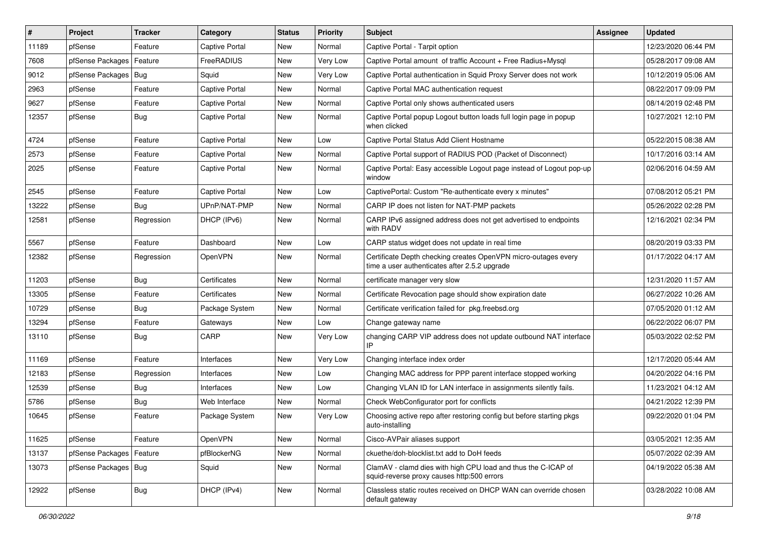| $\vert$ # | Project                | <b>Tracker</b> | Category              | <b>Status</b> | <b>Priority</b> | Subject                                                                                                         | <b>Assignee</b> | <b>Updated</b>      |
|-----------|------------------------|----------------|-----------------------|---------------|-----------------|-----------------------------------------------------------------------------------------------------------------|-----------------|---------------------|
| 11189     | pfSense                | Feature        | Captive Portal        | New           | Normal          | Captive Portal - Tarpit option                                                                                  |                 | 12/23/2020 06:44 PM |
| 7608      | pfSense Packages       | Feature        | FreeRADIUS            | New           | Very Low        | Captive Portal amount of traffic Account + Free Radius+Mysql                                                    |                 | 05/28/2017 09:08 AM |
| 9012      | pfSense Packages       | Bug            | Squid                 | New           | Very Low        | Captive Portal authentication in Squid Proxy Server does not work                                               |                 | 10/12/2019 05:06 AM |
| 2963      | pfSense                | Feature        | <b>Captive Portal</b> | <b>New</b>    | Normal          | Captive Portal MAC authentication request                                                                       |                 | 08/22/2017 09:09 PM |
| 9627      | pfSense                | Feature        | Captive Portal        | New           | Normal          | Captive Portal only shows authenticated users                                                                   |                 | 08/14/2019 02:48 PM |
| 12357     | pfSense                | Bug            | Captive Portal        | New           | Normal          | Captive Portal popup Logout button loads full login page in popup<br>when clicked                               |                 | 10/27/2021 12:10 PM |
| 4724      | pfSense                | Feature        | Captive Portal        | New           | Low             | Captive Portal Status Add Client Hostname                                                                       |                 | 05/22/2015 08:38 AM |
| 2573      | pfSense                | Feature        | Captive Portal        | New           | Normal          | Captive Portal support of RADIUS POD (Packet of Disconnect)                                                     |                 | 10/17/2016 03:14 AM |
| 2025      | pfSense                | Feature        | Captive Portal        | New           | Normal          | Captive Portal: Easy accessible Logout page instead of Logout pop-up<br>window                                  |                 | 02/06/2016 04:59 AM |
| 2545      | pfSense                | Feature        | Captive Portal        | New           | Low             | CaptivePortal: Custom "Re-authenticate every x minutes"                                                         |                 | 07/08/2012 05:21 PM |
| 13222     | pfSense                | <b>Bug</b>     | UPnP/NAT-PMP          | New           | Normal          | CARP IP does not listen for NAT-PMP packets                                                                     |                 | 05/26/2022 02:28 PM |
| 12581     | pfSense                | Regression     | DHCP (IPv6)           | New           | Normal          | CARP IPv6 assigned address does not get advertised to endpoints<br>with RADV                                    |                 | 12/16/2021 02:34 PM |
| 5567      | pfSense                | Feature        | Dashboard             | New           | Low             | CARP status widget does not update in real time                                                                 |                 | 08/20/2019 03:33 PM |
| 12382     | pfSense                | Regression     | OpenVPN               | New           | Normal          | Certificate Depth checking creates OpenVPN micro-outages every<br>time a user authenticates after 2.5.2 upgrade |                 | 01/17/2022 04:17 AM |
| 11203     | pfSense                | Bug            | Certificates          | New           | Normal          | certificate manager very slow                                                                                   |                 | 12/31/2020 11:57 AM |
| 13305     | pfSense                | Feature        | Certificates          | New           | Normal          | Certificate Revocation page should show expiration date                                                         |                 | 06/27/2022 10:26 AM |
| 10729     | pfSense                | <b>Bug</b>     | Package System        | New           | Normal          | Certificate verification failed for pkg.freebsd.org                                                             |                 | 07/05/2020 01:12 AM |
| 13294     | pfSense                | Feature        | Gateways              | New           | Low             | Change gateway name                                                                                             |                 | 06/22/2022 06:07 PM |
| 13110     | pfSense                | Bug            | CARP                  | New           | Very Low        | changing CARP VIP address does not update outbound NAT interface<br>IP                                          |                 | 05/03/2022 02:52 PM |
| 11169     | pfSense                | Feature        | Interfaces            | New           | Very Low        | Changing interface index order                                                                                  |                 | 12/17/2020 05:44 AM |
| 12183     | pfSense                | Regression     | Interfaces            | New           | Low             | Changing MAC address for PPP parent interface stopped working                                                   |                 | 04/20/2022 04:16 PM |
| 12539     | pfSense                | <b>Bug</b>     | Interfaces            | New           | Low             | Changing VLAN ID for LAN interface in assignments silently fails.                                               |                 | 11/23/2021 04:12 AM |
| 5786      | pfSense                | <b>Bug</b>     | Web Interface         | New           | Normal          | Check WebConfigurator port for conflicts                                                                        |                 | 04/21/2022 12:39 PM |
| 10645     | pfSense                | Feature        | Package System        | New           | Very Low        | Choosing active repo after restoring config but before starting pkgs<br>auto-installing                         |                 | 09/22/2020 01:04 PM |
| 11625     | pfSense                | Feature        | <b>OpenVPN</b>        | New           | Normal          | Cisco-AVPair aliases support                                                                                    |                 | 03/05/2021 12:35 AM |
| 13137     | pfSense Packages       | Feature        | pfBlockerNG           | New           | Normal          | ckuethe/doh-blocklist.txt add to DoH feeds                                                                      |                 | 05/07/2022 02:39 AM |
| 13073     | pfSense Packages   Bug |                | Squid                 | New           | Normal          | ClamAV - clamd dies with high CPU load and thus the C-ICAP of<br>squid-reverse proxy causes http:500 errors     |                 | 04/19/2022 05:38 AM |
| 12922     | pfSense                | <b>Bug</b>     | DHCP (IPv4)           | New           | Normal          | Classless static routes received on DHCP WAN can override chosen<br>default gateway                             |                 | 03/28/2022 10:08 AM |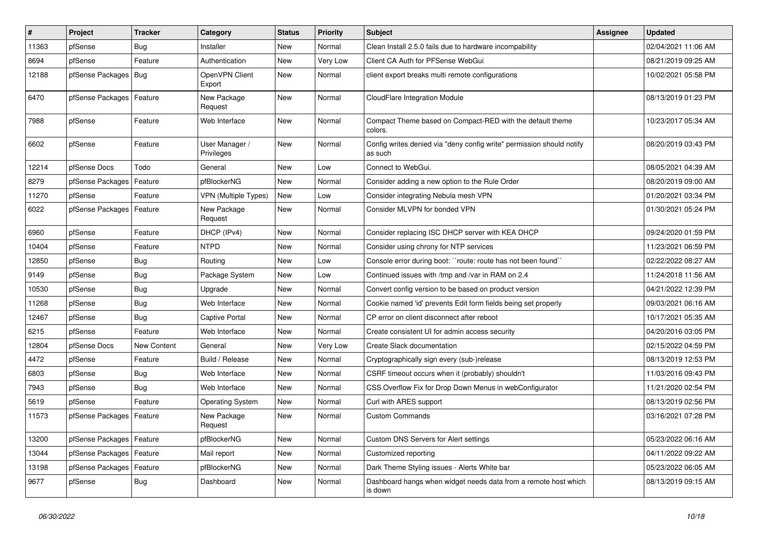| $\vert$ # | Project                    | <b>Tracker</b> | Category                     | <b>Status</b> | <b>Priority</b> | Subject                                                                          | Assignee | <b>Updated</b>      |
|-----------|----------------------------|----------------|------------------------------|---------------|-----------------|----------------------------------------------------------------------------------|----------|---------------------|
| 11363     | pfSense                    | Bug            | Installer                    | New           | Normal          | Clean Install 2.5.0 fails due to hardware incompability                          |          | 02/04/2021 11:06 AM |
| 8694      | pfSense                    | Feature        | Authentication               | New           | Very Low        | Client CA Auth for PFSense WebGui                                                |          | 08/21/2019 09:25 AM |
| 12188     | pfSense Packages   Bug     |                | OpenVPN Client<br>Export     | <b>New</b>    | Normal          | client export breaks multi remote configurations                                 |          | 10/02/2021 05:58 PM |
| 6470      | pfSense Packages   Feature |                | New Package<br>Request       | New           | Normal          | CloudFlare Integration Module                                                    |          | 08/13/2019 01:23 PM |
| 7988      | pfSense                    | Feature        | Web Interface                | New           | Normal          | Compact Theme based on Compact-RED with the default theme<br>colors.             |          | 10/23/2017 05:34 AM |
| 6602      | pfSense                    | Feature        | User Manager /<br>Privileges | <b>New</b>    | Normal          | Config writes denied via "deny config write" permission should notify<br>as such |          | 08/20/2019 03:43 PM |
| 12214     | pfSense Docs               | Todo           | General                      | <b>New</b>    | Low             | Connect to WebGui.                                                               |          | 08/05/2021 04:39 AM |
| 8279      | pfSense Packages           | Feature        | pfBlockerNG                  | New           | Normal          | Consider adding a new option to the Rule Order                                   |          | 08/20/2019 09:00 AM |
| 11270     | pfSense                    | Feature        | <b>VPN (Multiple Types)</b>  | <b>New</b>    | Low             | Consider integrating Nebula mesh VPN                                             |          | 01/20/2021 03:34 PM |
| 6022      | pfSense Packages   Feature |                | New Package<br>Request       | New           | Normal          | Consider MLVPN for bonded VPN                                                    |          | 01/30/2021 05:24 PM |
| 6960      | pfSense                    | Feature        | DHCP (IPv4)                  | New           | Normal          | Consider replacing ISC DHCP server with KEA DHCP                                 |          | 09/24/2020 01:59 PM |
| 10404     | pfSense                    | Feature        | <b>NTPD</b>                  | New           | Normal          | Consider using chrony for NTP services                                           |          | 11/23/2021 06:59 PM |
| 12850     | pfSense                    | Bug            | Routing                      | New           | Low             | Console error during boot: "route: route has not been found"                     |          | 02/22/2022 08:27 AM |
| 9149      | pfSense                    | Bug            | Package System               | <b>New</b>    | Low             | Continued issues with /tmp and /var in RAM on 2.4                                |          | 11/24/2018 11:56 AM |
| 10530     | pfSense                    | Bug            | Upgrade                      | New           | Normal          | Convert config version to be based on product version                            |          | 04/21/2022 12:39 PM |
| 11268     | pfSense                    | <b>Bug</b>     | Web Interface                | <b>New</b>    | Normal          | Cookie named 'id' prevents Edit form fields being set properly                   |          | 09/03/2021 06:16 AM |
| 12467     | pfSense                    | <b>Bug</b>     | Captive Portal               | New           | Normal          | CP error on client disconnect after reboot                                       |          | 10/17/2021 05:35 AM |
| 6215      | pfSense                    | Feature        | Web Interface                | New           | Normal          | Create consistent UI for admin access security                                   |          | 04/20/2016 03:05 PM |
| 12804     | pfSense Docs               | New Content    | General                      | <b>New</b>    | Very Low        | Create Slack documentation                                                       |          | 02/15/2022 04:59 PM |
| 4472      | pfSense                    | Feature        | Build / Release              | New           | Normal          | Cryptographically sign every (sub-)release                                       |          | 08/13/2019 12:53 PM |
| 6803      | pfSense                    | Bug            | Web Interface                | <b>New</b>    | Normal          | CSRF timeout occurs when it (probably) shouldn't                                 |          | 11/03/2016 09:43 PM |
| 7943      | pfSense                    | Bug            | Web Interface                | New           | Normal          | CSS Overflow Fix for Drop Down Menus in webConfigurator                          |          | 11/21/2020 02:54 PM |
| 5619      | pfSense                    | Feature        | <b>Operating System</b>      | New           | Normal          | Curl with ARES support                                                           |          | 08/13/2019 02:56 PM |
| 11573     | pfSense Packages   Feature |                | New Package<br>Request       | New           | Normal          | <b>Custom Commands</b>                                                           |          | 03/16/2021 07:28 PM |
| 13200     | pfSense Packages   Feature |                | pfBlockerNG                  | New           | Normal          | Custom DNS Servers for Alert settings                                            |          | 05/23/2022 06:16 AM |
| 13044     | pfSense Packages   Feature |                | Mail report                  | New           | Normal          | Customized reporting                                                             |          | 04/11/2022 09:22 AM |
| 13198     | pfSense Packages   Feature |                | pfBlockerNG                  | New           | Normal          | Dark Theme Styling issues - Alerts White bar                                     |          | 05/23/2022 06:05 AM |
| 9677      | pfSense                    | <b>Bug</b>     | Dashboard                    | New           | Normal          | Dashboard hangs when widget needs data from a remote host which<br>is down       |          | 08/13/2019 09:15 AM |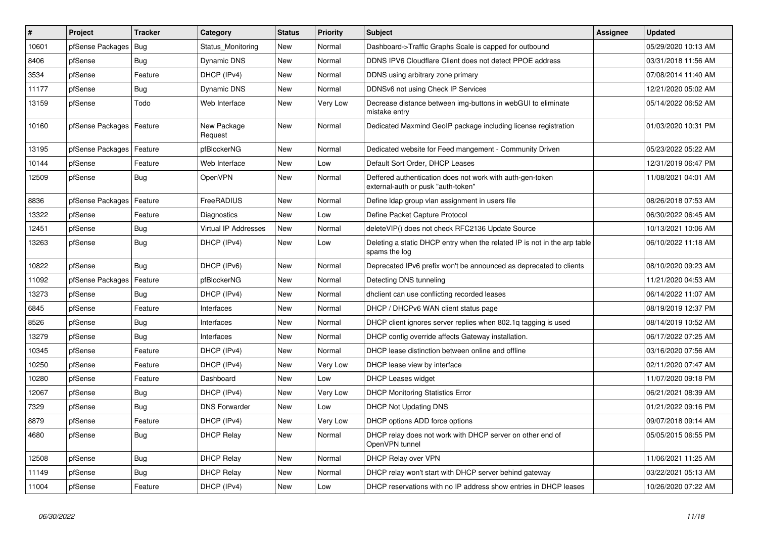| $\sharp$ | Project          | <b>Tracker</b> | Category               | <b>Status</b> | <b>Priority</b> | <b>Subject</b>                                                                                  | <b>Assignee</b> | <b>Updated</b>      |
|----------|------------------|----------------|------------------------|---------------|-----------------|-------------------------------------------------------------------------------------------------|-----------------|---------------------|
| 10601    | pfSense Packages | Bug            | Status Monitoring      | <b>New</b>    | Normal          | Dashboard->Traffic Graphs Scale is capped for outbound                                          |                 | 05/29/2020 10:13 AM |
| 8406     | pfSense          | Bug            | Dynamic DNS            | <b>New</b>    | Normal          | DDNS IPV6 Cloudflare Client does not detect PPOE address                                        |                 | 03/31/2018 11:56 AM |
| 3534     | pfSense          | Feature        | DHCP (IPv4)            | New           | Normal          | DDNS using arbitrary zone primary                                                               |                 | 07/08/2014 11:40 AM |
| 11177    | pfSense          | Bug            | Dynamic DNS            | <b>New</b>    | Normal          | DDNSv6 not using Check IP Services                                                              |                 | 12/21/2020 05:02 AM |
| 13159    | pfSense          | Todo           | Web Interface          | <b>New</b>    | Very Low        | Decrease distance between img-buttons in webGUI to eliminate<br>mistake entry                   |                 | 05/14/2022 06:52 AM |
| 10160    | pfSense Packages | Feature        | New Package<br>Request | <b>New</b>    | Normal          | Dedicated Maxmind GeoIP package including license registration                                  |                 | 01/03/2020 10:31 PM |
| 13195    | pfSense Packages | Feature        | pfBlockerNG            | New           | Normal          | Dedicated website for Feed mangement - Community Driven                                         |                 | 05/23/2022 05:22 AM |
| 10144    | pfSense          | Feature        | Web Interface          | New           | Low             | Default Sort Order, DHCP Leases                                                                 |                 | 12/31/2019 06:47 PM |
| 12509    | pfSense          | Bug            | <b>OpenVPN</b>         | <b>New</b>    | Normal          | Deffered authentication does not work with auth-gen-token<br>external-auth or pusk "auth-token" |                 | 11/08/2021 04:01 AM |
| 8836     | pfSense Packages | Feature        | FreeRADIUS             | New           | Normal          | Define Idap group vlan assignment in users file                                                 |                 | 08/26/2018 07:53 AM |
| 13322    | pfSense          | Feature        | Diagnostics            | New           | Low             | Define Packet Capture Protocol                                                                  |                 | 06/30/2022 06:45 AM |
| 12451    | pfSense          | <b>Bug</b>     | Virtual IP Addresses   | New           | Normal          | deleteVIP() does not check RFC2136 Update Source                                                |                 | 10/13/2021 10:06 AM |
| 13263    | pfSense          | Bug            | DHCP (IPv4)            | New           | Low             | Deleting a static DHCP entry when the related IP is not in the arp table<br>spams the log       |                 | 06/10/2022 11:18 AM |
| 10822    | pfSense          | Bug            | DHCP (IPv6)            | New           | Normal          | Deprecated IPv6 prefix won't be announced as deprecated to clients                              |                 | 08/10/2020 09:23 AM |
| 11092    | pfSense Packages | Feature        | pfBlockerNG            | <b>New</b>    | Normal          | Detecting DNS tunneling                                                                         |                 | 11/21/2020 04:53 AM |
| 13273    | pfSense          | Bug            | DHCP (IPv4)            | New           | Normal          | dholient can use conflicting recorded leases                                                    |                 | 06/14/2022 11:07 AM |
| 6845     | pfSense          | Feature        | Interfaces             | <b>New</b>    | Normal          | DHCP / DHCPv6 WAN client status page                                                            |                 | 08/19/2019 12:37 PM |
| 8526     | pfSense          | Bug            | Interfaces             | New           | Normal          | DHCP client ignores server replies when 802.1q tagging is used                                  |                 | 08/14/2019 10:52 AM |
| 13279    | pfSense          | Bug            | Interfaces             | New           | Normal          | DHCP config override affects Gateway installation.                                              |                 | 06/17/2022 07:25 AM |
| 10345    | pfSense          | Feature        | DHCP (IPv4)            | New           | Normal          | DHCP lease distinction between online and offline                                               |                 | 03/16/2020 07:56 AM |
| 10250    | pfSense          | Feature        | DHCP (IPv4)            | <b>New</b>    | Very Low        | DHCP lease view by interface                                                                    |                 | 02/11/2020 07:47 AM |
| 10280    | pfSense          | Feature        | Dashboard              | <b>New</b>    | Low             | <b>DHCP Leases widget</b>                                                                       |                 | 11/07/2020 09:18 PM |
| 12067    | pfSense          | Bug            | DHCP (IPv4)            | New           | Very Low        | <b>DHCP Monitoring Statistics Error</b>                                                         |                 | 06/21/2021 08:39 AM |
| 7329     | pfSense          | Bug            | <b>DNS Forwarder</b>   | New           | Low             | <b>DHCP Not Updating DNS</b>                                                                    |                 | 01/21/2022 09:16 PM |
| 8879     | pfSense          | Feature        | DHCP (IPv4)            | <b>New</b>    | Very Low        | DHCP options ADD force options                                                                  |                 | 09/07/2018 09:14 AM |
| 4680     | pfSense          | Bug            | <b>DHCP Relay</b>      | New           | Normal          | DHCP relay does not work with DHCP server on other end of<br>OpenVPN tunnel                     |                 | 05/05/2015 06:55 PM |
| 12508    | pfSense          | Bug            | <b>DHCP Relay</b>      | New           | Normal          | DHCP Relay over VPN                                                                             |                 | 11/06/2021 11:25 AM |
| 11149    | pfSense          | <b>Bug</b>     | <b>DHCP Relay</b>      | New           | Normal          | DHCP relay won't start with DHCP server behind gateway                                          |                 | 03/22/2021 05:13 AM |
| 11004    | pfSense          | Feature        | DHCP (IPv4)            | New           | Low             | DHCP reservations with no IP address show entries in DHCP leases                                |                 | 10/26/2020 07:22 AM |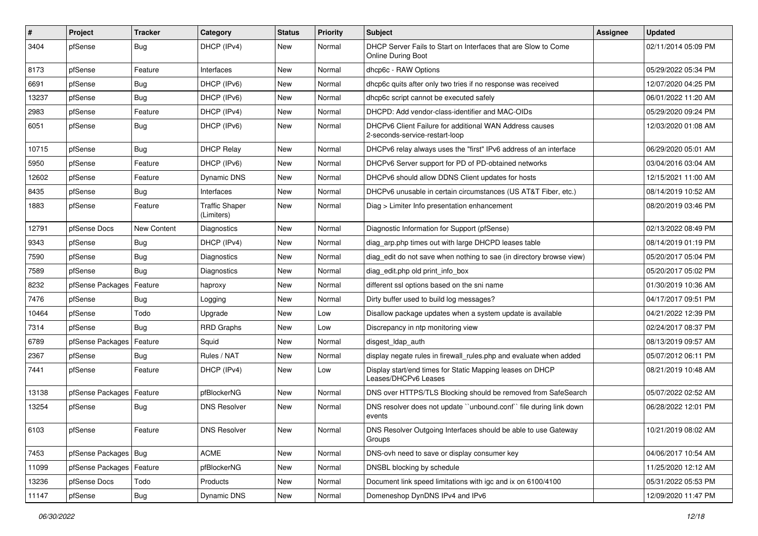| #     | Project                | <b>Tracker</b> | Category                            | <b>Status</b> | <b>Priority</b> | Subject                                                                                   | <b>Assignee</b> | <b>Updated</b>      |
|-------|------------------------|----------------|-------------------------------------|---------------|-----------------|-------------------------------------------------------------------------------------------|-----------------|---------------------|
| 3404  | pfSense                | <b>Bug</b>     | DHCP (IPv4)                         | New           | Normal          | DHCP Server Fails to Start on Interfaces that are Slow to Come<br>Online During Boot      |                 | 02/11/2014 05:09 PM |
| 8173  | pfSense                | Feature        | Interfaces                          | <b>New</b>    | Normal          | dhcp6c - RAW Options                                                                      |                 | 05/29/2022 05:34 PM |
| 6691  | pfSense                | Bug            | DHCP (IPv6)                         | New           | Normal          | dhcp6c quits after only two tries if no response was received                             |                 | 12/07/2020 04:25 PM |
| 13237 | pfSense                | Bug            | DHCP (IPv6)                         | <b>New</b>    | Normal          | dhcp6c script cannot be executed safely                                                   |                 | 06/01/2022 11:20 AM |
| 2983  | pfSense                | Feature        | DHCP (IPv4)                         | New           | Normal          | DHCPD: Add vendor-class-identifier and MAC-OIDs                                           |                 | 05/29/2020 09:24 PM |
| 6051  | pfSense                | Bug            | DHCP (IPv6)                         | New           | Normal          | DHCPv6 Client Failure for additional WAN Address causes<br>2-seconds-service-restart-loop |                 | 12/03/2020 01:08 AM |
| 10715 | pfSense                | Bug            | <b>DHCP Relav</b>                   | <b>New</b>    | Normal          | DHCPv6 relay always uses the "first" IPv6 address of an interface                         |                 | 06/29/2020 05:01 AM |
| 5950  | pfSense                | Feature        | DHCP (IPv6)                         | New           | Normal          | DHCPv6 Server support for PD of PD-obtained networks                                      |                 | 03/04/2016 03:04 AM |
| 12602 | pfSense                | Feature        | <b>Dynamic DNS</b>                  | New           | Normal          | DHCPv6 should allow DDNS Client updates for hosts                                         |                 | 12/15/2021 11:00 AM |
| 8435  | pfSense                | Bug            | Interfaces                          | New           | Normal          | DHCPv6 unusable in certain circumstances (US AT&T Fiber, etc.)                            |                 | 08/14/2019 10:52 AM |
| 1883  | pfSense                | Feature        | <b>Traffic Shaper</b><br>(Limiters) | New           | Normal          | Diag > Limiter Info presentation enhancement                                              |                 | 08/20/2019 03:46 PM |
| 12791 | pfSense Docs           | New Content    | Diagnostics                         | New           | Normal          | Diagnostic Information for Support (pfSense)                                              |                 | 02/13/2022 08:49 PM |
| 9343  | pfSense                | Bug            | DHCP (IPv4)                         | New           | Normal          | diag_arp.php times out with large DHCPD leases table                                      |                 | 08/14/2019 01:19 PM |
| 7590  | pfSense                | Bug            | Diagnostics                         | New           | Normal          | diag edit do not save when nothing to sae (in directory browse view)                      |                 | 05/20/2017 05:04 PM |
| 7589  | pfSense                | Bug            | <b>Diagnostics</b>                  | New           | Normal          | diag_edit.php old print_info_box                                                          |                 | 05/20/2017 05:02 PM |
| 8232  | pfSense Packages       | Feature        | haproxy                             | New           | Normal          | different ssl options based on the sni name                                               |                 | 01/30/2019 10:36 AM |
| 7476  | pfSense                | Bug            | Logging                             | New           | Normal          | Dirty buffer used to build log messages?                                                  |                 | 04/17/2017 09:51 PM |
| 10464 | pfSense                | Todo           | Upgrade                             | New           | Low             | Disallow package updates when a system update is available                                |                 | 04/21/2022 12:39 PM |
| 7314  | pfSense                | Bug            | <b>RRD Graphs</b>                   | New           | Low             | Discrepancy in ntp monitoring view                                                        |                 | 02/24/2017 08:37 PM |
| 6789  | pfSense Packages       | Feature        | Squid                               | New           | Normal          | disgest_ldap_auth                                                                         |                 | 08/13/2019 09:57 AM |
| 2367  | pfSense                | Bug            | Rules / NAT                         | <b>New</b>    | Normal          | display negate rules in firewall_rules.php and evaluate when added                        |                 | 05/07/2012 06:11 PM |
| 7441  | pfSense                | Feature        | DHCP (IPv4)                         | New           | Low             | Display start/end times for Static Mapping leases on DHCP<br>Leases/DHCPv6 Leases         |                 | 08/21/2019 10:48 AM |
| 13138 | pfSense Packages       | Feature        | pfBlockerNG                         | New           | Normal          | DNS over HTTPS/TLS Blocking should be removed from SafeSearch                             |                 | 05/07/2022 02:52 AM |
| 13254 | pfSense                | <b>Bug</b>     | <b>DNS Resolver</b>                 | New           | Normal          | DNS resolver does not update "unbound.conf" file during link down<br>events               |                 | 06/28/2022 12:01 PM |
| 6103  | pfSense                | Feature        | <b>DNS Resolver</b>                 | New           | Normal          | DNS Resolver Outgoing Interfaces should be able to use Gateway<br>Groups                  |                 | 10/21/2019 08:02 AM |
| 7453  | pfSense Packages   Bug |                | <b>ACME</b>                         | New           | Normal          | DNS-ovh need to save or display consumer key                                              |                 | 04/06/2017 10:54 AM |
| 11099 | pfSense Packages       | Feature        | pfBlockerNG                         | New           | Normal          | DNSBL blocking by schedule                                                                |                 | 11/25/2020 12:12 AM |
| 13236 | pfSense Docs           | Todo           | Products                            | New           | Normal          | Document link speed limitations with igc and ix on 6100/4100                              |                 | 05/31/2022 05:53 PM |
| 11147 | pfSense                | Bug            | Dynamic DNS                         | New           | Normal          | Domeneshop DynDNS IPv4 and IPv6                                                           |                 | 12/09/2020 11:47 PM |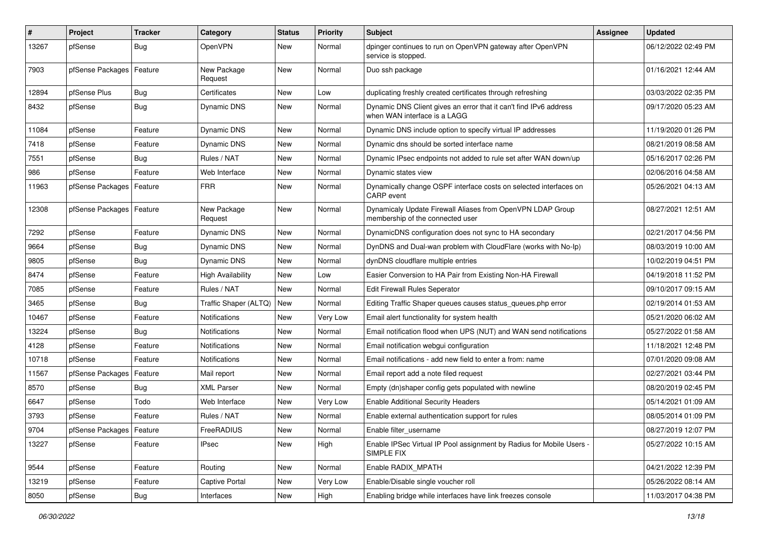| ∦     | Project                    | Tracker    | Category                 | <b>Status</b> | <b>Priority</b> | Subject                                                                                           | Assignee | <b>Updated</b>      |
|-------|----------------------------|------------|--------------------------|---------------|-----------------|---------------------------------------------------------------------------------------------------|----------|---------------------|
| 13267 | pfSense                    | <b>Bug</b> | OpenVPN                  | <b>New</b>    | Normal          | dpinger continues to run on OpenVPN gateway after OpenVPN<br>service is stopped.                  |          | 06/12/2022 02:49 PM |
| 7903  | pfSense Packages           | Feature    | New Package<br>Request   | New           | Normal          | Duo ssh package                                                                                   |          | 01/16/2021 12:44 AM |
| 12894 | pfSense Plus               | Bug        | Certificates             | <b>New</b>    | Low             | duplicating freshly created certificates through refreshing                                       |          | 03/03/2022 02:35 PM |
| 8432  | pfSense                    | <b>Bug</b> | Dynamic DNS              | New           | Normal          | Dynamic DNS Client gives an error that it can't find IPv6 address<br>when WAN interface is a LAGG |          | 09/17/2020 05:23 AM |
| 11084 | pfSense                    | Feature    | <b>Dynamic DNS</b>       | <b>New</b>    | Normal          | Dynamic DNS include option to specify virtual IP addresses                                        |          | 11/19/2020 01:26 PM |
| 7418  | pfSense                    | Feature    | Dynamic DNS              | New           | Normal          | Dynamic dns should be sorted interface name                                                       |          | 08/21/2019 08:58 AM |
| 7551  | pfSense                    | <b>Bug</b> | Rules / NAT              | <b>New</b>    | Normal          | Dynamic IPsec endpoints not added to rule set after WAN down/up                                   |          | 05/16/2017 02:26 PM |
| 986   | pfSense                    | Feature    | Web Interface            | New           | Normal          | Dynamic states view                                                                               |          | 02/06/2016 04:58 AM |
| 11963 | pfSense Packages   Feature |            | <b>FRR</b>               | New           | Normal          | Dynamically change OSPF interface costs on selected interfaces on<br>CARP event                   |          | 05/26/2021 04:13 AM |
| 12308 | pfSense Packages           | Feature    | New Package<br>Request   | <b>New</b>    | Normal          | Dynamicaly Update Firewall Aliases from OpenVPN LDAP Group<br>membership of the connected user    |          | 08/27/2021 12:51 AM |
| 7292  | pfSense                    | Feature    | Dynamic DNS              | <b>New</b>    | Normal          | DynamicDNS configuration does not sync to HA secondary                                            |          | 02/21/2017 04:56 PM |
| 9664  | pfSense                    | Bug        | <b>Dynamic DNS</b>       | New           | Normal          | DynDNS and Dual-wan problem with CloudFlare (works with No-Ip)                                    |          | 08/03/2019 10:00 AM |
| 9805  | pfSense                    | Bug        | <b>Dynamic DNS</b>       | <b>New</b>    | Normal          | dynDNS cloudflare multiple entries                                                                |          | 10/02/2019 04:51 PM |
| 8474  | pfSense                    | Feature    | <b>High Availability</b> | New           | Low             | Easier Conversion to HA Pair from Existing Non-HA Firewall                                        |          | 04/19/2018 11:52 PM |
| 7085  | pfSense                    | Feature    | Rules / NAT              | New           | Normal          | <b>Edit Firewall Rules Seperator</b>                                                              |          | 09/10/2017 09:15 AM |
| 3465  | pfSense                    | Bug        | Traffic Shaper (ALTQ)    | <b>New</b>    | Normal          | Editing Traffic Shaper queues causes status_queues.php error                                      |          | 02/19/2014 01:53 AM |
| 10467 | pfSense                    | Feature    | Notifications            | New           | Very Low        | Email alert functionality for system health                                                       |          | 05/21/2020 06:02 AM |
| 13224 | pfSense                    | Bug        | Notifications            | New           | Normal          | Email notification flood when UPS (NUT) and WAN send notifications                                |          | 05/27/2022 01:58 AM |
| 4128  | pfSense                    | Feature    | Notifications            | New           | Normal          | Email notification webgui configuration                                                           |          | 11/18/2021 12:48 PM |
| 10718 | pfSense                    | Feature    | Notifications            | <b>New</b>    | Normal          | Email notifications - add new field to enter a from: name                                         |          | 07/01/2020 09:08 AM |
| 11567 | pfSense Packages           | Feature    | Mail report              | <b>New</b>    | Normal          | Email report add a note filed request                                                             |          | 02/27/2021 03:44 PM |
| 8570  | pfSense                    | <b>Bug</b> | <b>XML Parser</b>        | <b>New</b>    | Normal          | Empty (dn)shaper config gets populated with newline                                               |          | 08/20/2019 02:45 PM |
| 6647  | pfSense                    | Todo       | Web Interface            | New           | Very Low        | <b>Enable Additional Security Headers</b>                                                         |          | 05/14/2021 01:09 AM |
| 3793  | pfSense                    | Feature    | Rules / NAT              | <b>New</b>    | Normal          | Enable external authentication support for rules                                                  |          | 08/05/2014 01:09 PM |
| 9704  | pfSense Packages   Feature |            | FreeRADIUS               | New           | Normal          | Enable filter_username                                                                            |          | 08/27/2019 12:07 PM |
| 13227 | pfSense                    | Feature    | <b>IPsec</b>             | New           | High            | Enable IPSec Virtual IP Pool assignment by Radius for Mobile Users -<br>SIMPLE FIX                |          | 05/27/2022 10:15 AM |
| 9544  | pfSense                    | Feature    | Routing                  | New           | Normal          | Enable RADIX_MPATH                                                                                |          | 04/21/2022 12:39 PM |
| 13219 | pfSense                    | Feature    | Captive Portal           | <b>New</b>    | Very Low        | Enable/Disable single voucher roll                                                                |          | 05/26/2022 08:14 AM |
| 8050  | pfSense                    | Bug        | Interfaces               | New           | High            | Enabling bridge while interfaces have link freezes console                                        |          | 11/03/2017 04:38 PM |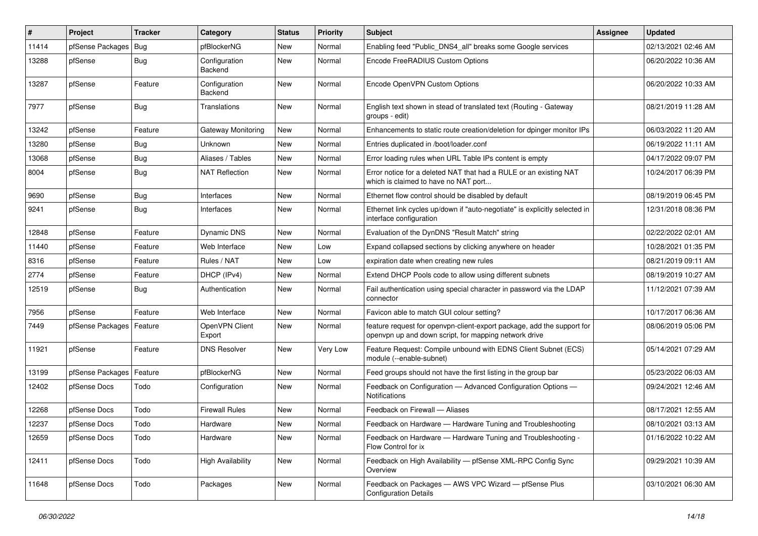| $\vert$ # | Project                    | <b>Tracker</b> | Category                 | <b>Status</b> | <b>Priority</b> | Subject                                                                                                                         | <b>Assignee</b> | <b>Updated</b>      |
|-----------|----------------------------|----------------|--------------------------|---------------|-----------------|---------------------------------------------------------------------------------------------------------------------------------|-----------------|---------------------|
| 11414     | pfSense Packages           | Bug            | pfBlockerNG              | New           | Normal          | Enabling feed "Public DNS4 all" breaks some Google services                                                                     |                 | 02/13/2021 02:46 AM |
| 13288     | pfSense                    | Bug            | Configuration<br>Backend | New           | Normal          | Encode FreeRADIUS Custom Options                                                                                                |                 | 06/20/2022 10:36 AM |
| 13287     | pfSense                    | Feature        | Configuration<br>Backend | New           | Normal          | Encode OpenVPN Custom Options                                                                                                   |                 | 06/20/2022 10:33 AM |
| 7977      | pfSense                    | Bug            | Translations             | New           | Normal          | English text shown in stead of translated text (Routing - Gateway<br>groups - edit)                                             |                 | 08/21/2019 11:28 AM |
| 13242     | pfSense                    | Feature        | Gateway Monitoring       | <b>New</b>    | Normal          | Enhancements to static route creation/deletion for dpinger monitor IPs                                                          |                 | 06/03/2022 11:20 AM |
| 13280     | pfSense                    | <b>Bug</b>     | <b>Unknown</b>           | <b>New</b>    | Normal          | Entries duplicated in /boot/loader.conf                                                                                         |                 | 06/19/2022 11:11 AM |
| 13068     | pfSense                    | Bug            | Aliases / Tables         | New           | Normal          | Error loading rules when URL Table IPs content is empty                                                                         |                 | 04/17/2022 09:07 PM |
| 8004      | pfSense                    | Bug            | <b>NAT Reflection</b>    | New           | Normal          | Error notice for a deleted NAT that had a RULE or an existing NAT<br>which is claimed to have no NAT port                       |                 | 10/24/2017 06:39 PM |
| 9690      | pfSense                    | Bug            | Interfaces               | <b>New</b>    | Normal          | Ethernet flow control should be disabled by default                                                                             |                 | 08/19/2019 06:45 PM |
| 9241      | pfSense                    | Bug            | Interfaces               | New           | Normal          | Ethernet link cycles up/down if "auto-negotiate" is explicitly selected in<br>interface configuration                           |                 | 12/31/2018 08:36 PM |
| 12848     | pfSense                    | Feature        | Dynamic DNS              | <b>New</b>    | Normal          | Evaluation of the DynDNS "Result Match" string                                                                                  |                 | 02/22/2022 02:01 AM |
| 11440     | pfSense                    | Feature        | Web Interface            | <b>New</b>    | Low             | Expand collapsed sections by clicking anywhere on header                                                                        |                 | 10/28/2021 01:35 PM |
| 8316      | pfSense                    | Feature        | Rules / NAT              | New           | Low             | expiration date when creating new rules                                                                                         |                 | 08/21/2019 09:11 AM |
| 2774      | pfSense                    | Feature        | DHCP (IPv4)              | <b>New</b>    | Normal          | Extend DHCP Pools code to allow using different subnets                                                                         |                 | 08/19/2019 10:27 AM |
| 12519     | pfSense                    | Bug            | Authentication           | New           | Normal          | Fail authentication using special character in password via the LDAP<br>connector                                               |                 | 11/12/2021 07:39 AM |
| 7956      | pfSense                    | Feature        | Web Interface            | New           | Normal          | Favicon able to match GUI colour setting?                                                                                       |                 | 10/17/2017 06:36 AM |
| 7449      | pfSense Packages   Feature |                | OpenVPN Client<br>Export | New           | Normal          | feature request for openvpn-client-export package, add the support for<br>openvpn up and down script, for mapping network drive |                 | 08/06/2019 05:06 PM |
| 11921     | pfSense                    | Feature        | <b>DNS Resolver</b>      | <b>New</b>    | Very Low        | Feature Request: Compile unbound with EDNS Client Subnet (ECS)<br>module (--enable-subnet)                                      |                 | 05/14/2021 07:29 AM |
| 13199     | pfSense Packages           | Feature        | pfBlockerNG              | <b>New</b>    | Normal          | Feed groups should not have the first listing in the group bar                                                                  |                 | 05/23/2022 06:03 AM |
| 12402     | pfSense Docs               | Todo           | Configuration            | New           | Normal          | Feedback on Configuration - Advanced Configuration Options -<br>Notifications                                                   |                 | 09/24/2021 12:46 AM |
| 12268     | pfSense Docs               | Todo           | <b>Firewall Rules</b>    | New           | Normal          | Feedback on Firewall - Aliases                                                                                                  |                 | 08/17/2021 12:55 AM |
| 12237     | pfSense Docs               | Todo           | Hardware                 | <b>New</b>    | Normal          | Feedback on Hardware - Hardware Tuning and Troubleshooting                                                                      |                 | 08/10/2021 03:13 AM |
| 12659     | pfSense Docs               | Todo           | Hardware                 | New           | Normal          | Feedback on Hardware - Hardware Tuning and Troubleshooting -<br>Flow Control for ix                                             |                 | 01/16/2022 10:22 AM |
| 12411     | pfSense Docs               | Todo           | <b>High Availability</b> | New           | Normal          | Feedback on High Availability - pfSense XML-RPC Config Sync<br>Overview                                                         |                 | 09/29/2021 10:39 AM |
| 11648     | pfSense Docs               | Todo           | Packages                 | New           | Normal          | Feedback on Packages - AWS VPC Wizard - pfSense Plus<br><b>Configuration Details</b>                                            |                 | 03/10/2021 06:30 AM |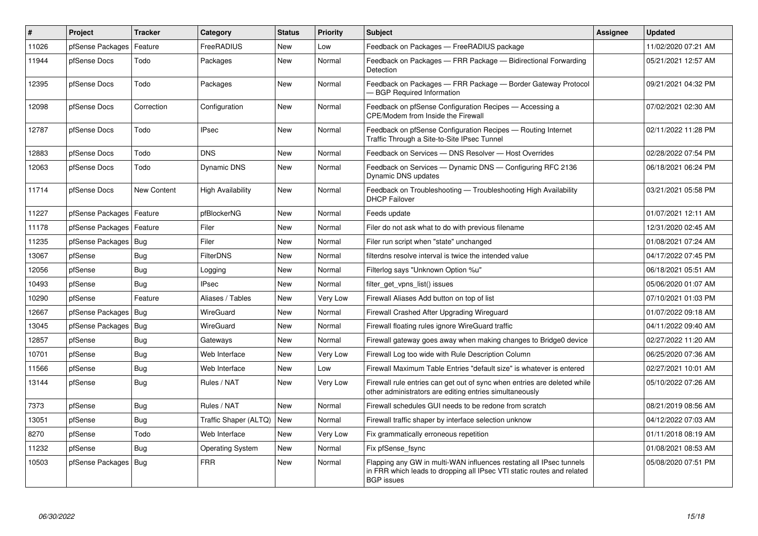| $\sharp$ | Project                | <b>Tracker</b> | Category                 | <b>Status</b> | <b>Priority</b> | <b>Subject</b>                                                                                                                                                     | <b>Assignee</b> | <b>Updated</b>      |
|----------|------------------------|----------------|--------------------------|---------------|-----------------|--------------------------------------------------------------------------------------------------------------------------------------------------------------------|-----------------|---------------------|
| 11026    | pfSense Packages       | Feature        | FreeRADIUS               | <b>New</b>    | Low             | Feedback on Packages - FreeRADIUS package                                                                                                                          |                 | 11/02/2020 07:21 AM |
| 11944    | pfSense Docs           | Todo           | Packages                 | <b>New</b>    | Normal          | Feedback on Packages - FRR Package - Bidirectional Forwarding<br>Detection                                                                                         |                 | 05/21/2021 12:57 AM |
| 12395    | pfSense Docs           | Todo           | Packages                 | <b>New</b>    | Normal          | Feedback on Packages - FRR Package - Border Gateway Protocol<br>- BGP Required Information                                                                         |                 | 09/21/2021 04:32 PM |
| 12098    | pfSense Docs           | Correction     | Configuration            | <b>New</b>    | Normal          | Feedback on pfSense Configuration Recipes - Accessing a<br><b>CPE/Modem from Inside the Firewall</b>                                                               |                 | 07/02/2021 02:30 AM |
| 12787    | pfSense Docs           | Todo           | <b>IPsec</b>             | <b>New</b>    | Normal          | Feedback on pfSense Configuration Recipes - Routing Internet<br>Traffic Through a Site-to-Site IPsec Tunnel                                                        |                 | 02/11/2022 11:28 PM |
| 12883    | pfSense Docs           | Todo           | <b>DNS</b>               | <b>New</b>    | Normal          | Feedback on Services - DNS Resolver - Host Overrides                                                                                                               |                 | 02/28/2022 07:54 PM |
| 12063    | pfSense Docs           | Todo           | <b>Dynamic DNS</b>       | <b>New</b>    | Normal          | Feedback on Services — Dynamic DNS — Configuring RFC 2136<br>Dynamic DNS updates                                                                                   |                 | 06/18/2021 06:24 PM |
| 11714    | pfSense Docs           | New Content    | <b>High Availability</b> | <b>New</b>    | Normal          | Feedback on Troubleshooting - Troubleshooting High Availability<br><b>DHCP Failover</b>                                                                            |                 | 03/21/2021 05:58 PM |
| 11227    | pfSense Packages       | Feature        | pfBlockerNG              | New           | Normal          | Feeds update                                                                                                                                                       |                 | 01/07/2021 12:11 AM |
| 11178    | pfSense Packages       | Feature        | Filer                    | <b>New</b>    | Normal          | Filer do not ask what to do with previous filename                                                                                                                 |                 | 12/31/2020 02:45 AM |
| 11235    | pfSense Packages   Bug |                | Filer                    | <b>New</b>    | Normal          | Filer run script when "state" unchanged                                                                                                                            |                 | 01/08/2021 07:24 AM |
| 13067    | pfSense                | Bug            | <b>FilterDNS</b>         | New           | Normal          | filterdns resolve interval is twice the intended value                                                                                                             |                 | 04/17/2022 07:45 PM |
| 12056    | pfSense                | <b>Bug</b>     | Logging                  | <b>New</b>    | Normal          | Filterlog says "Unknown Option %u"                                                                                                                                 |                 | 06/18/2021 05:51 AM |
| 10493    | pfSense                | Bug            | <b>IPsec</b>             | <b>New</b>    | Normal          | filter_get_vpns_list() issues                                                                                                                                      |                 | 05/06/2020 01:07 AM |
| 10290    | pfSense                | Feature        | Aliases / Tables         | <b>New</b>    | Very Low        | Firewall Aliases Add button on top of list                                                                                                                         |                 | 07/10/2021 01:03 PM |
| 12667    | pfSense Packages       | Bug            | WireGuard                | New           | Normal          | Firewall Crashed After Upgrading Wireguard                                                                                                                         |                 | 01/07/2022 09:18 AM |
| 13045    | pfSense Packages       | Bug            | WireGuard                | <b>New</b>    | Normal          | Firewall floating rules ignore WireGuard traffic                                                                                                                   |                 | 04/11/2022 09:40 AM |
| 12857    | pfSense                | <b>Bug</b>     | Gateways                 | New           | Normal          | Firewall gateway goes away when making changes to Bridge0 device                                                                                                   |                 | 02/27/2022 11:20 AM |
| 10701    | pfSense                | Bug            | Web Interface            | <b>New</b>    | Very Low        | Firewall Log too wide with Rule Description Column                                                                                                                 |                 | 06/25/2020 07:36 AM |
| 11566    | pfSense                | <b>Bug</b>     | Web Interface            | <b>New</b>    | Low             | Firewall Maximum Table Entries "default size" is whatever is entered                                                                                               |                 | 02/27/2021 10:01 AM |
| 13144    | pfSense                | Bug            | Rules / NAT              | <b>New</b>    | Very Low        | Firewall rule entries can get out of sync when entries are deleted while<br>other administrators are editing entries simultaneously                                |                 | 05/10/2022 07:26 AM |
| 7373     | pfSense                | Bug            | Rules / NAT              | <b>New</b>    | Normal          | Firewall schedules GUI needs to be redone from scratch                                                                                                             |                 | 08/21/2019 08:56 AM |
| 13051    | pfSense                | Bug            | Traffic Shaper (ALTQ)    | New           | Normal          | Firewall traffic shaper by interface selection unknow                                                                                                              |                 | 04/12/2022 07:03 AM |
| 8270     | pfSense                | Todo           | Web Interface            | New           | Very Low        | Fix grammatically erroneous repetition                                                                                                                             |                 | 01/11/2018 08:19 AM |
| 11232    | pfSense                | <b>Bug</b>     | <b>Operating System</b>  | New           | Normal          | Fix pfSense_fsync                                                                                                                                                  |                 | 01/08/2021 08:53 AM |
| 10503    | pfSense Packages       | Bug            | <b>FRR</b>               | New           | Normal          | Flapping any GW in multi-WAN influences restating all IPsec tunnels<br>in FRR which leads to dropping all IPsec VTI static routes and related<br><b>BGP</b> issues |                 | 05/08/2020 07:51 PM |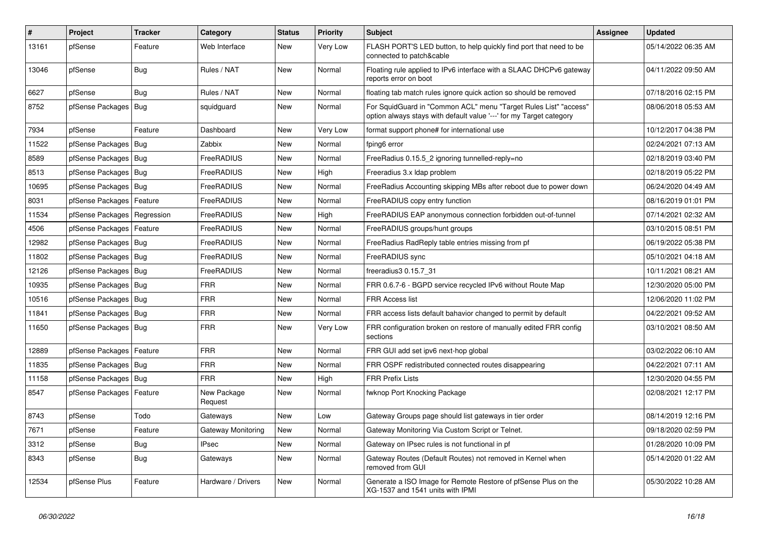| $\pmb{\#}$ | Project          | <b>Tracker</b> | Category               | <b>Status</b> | <b>Priority</b> | <b>Subject</b>                                                                                                                          | <b>Assignee</b> | <b>Updated</b>      |
|------------|------------------|----------------|------------------------|---------------|-----------------|-----------------------------------------------------------------------------------------------------------------------------------------|-----------------|---------------------|
| 13161      | pfSense          | Feature        | Web Interface          | New           | Very Low        | FLASH PORT'S LED button, to help quickly find port that need to be<br>connected to patch&cable                                          |                 | 05/14/2022 06:35 AM |
| 13046      | pfSense          | Bug            | Rules / NAT            | <b>New</b>    | Normal          | Floating rule applied to IPv6 interface with a SLAAC DHCPv6 gateway<br>reports error on boot                                            |                 | 04/11/2022 09:50 AM |
| 6627       | pfSense          | Bug            | Rules / NAT            | <b>New</b>    | Normal          | floating tab match rules ignore quick action so should be removed                                                                       |                 | 07/18/2016 02:15 PM |
| 8752       | pfSense Packages | Bug            | squidguard             | <b>New</b>    | Normal          | For SquidGuard in "Common ACL" menu "Target Rules List" "access"<br>option always stays with default value '---' for my Target category |                 | 08/06/2018 05:53 AM |
| 7934       | pfSense          | Feature        | Dashboard              | <b>New</b>    | Very Low        | format support phone# for international use                                                                                             |                 | 10/12/2017 04:38 PM |
| 11522      | pfSense Packages | Bug            | Zabbix                 | <b>New</b>    | Normal          | fping6 error                                                                                                                            |                 | 02/24/2021 07:13 AM |
| 8589       | pfSense Packages | Bug            | FreeRADIUS             | <b>New</b>    | Normal          | FreeRadius 0.15.5 2 ignoring tunnelled-reply=no                                                                                         |                 | 02/18/2019 03:40 PM |
| 8513       | pfSense Packages | Bug            | FreeRADIUS             | New           | High            | Freeradius 3.x Idap problem                                                                                                             |                 | 02/18/2019 05:22 PM |
| 10695      | pfSense Packages | Bug            | FreeRADIUS             | <b>New</b>    | Normal          | FreeRadius Accounting skipping MBs after reboot due to power down                                                                       |                 | 06/24/2020 04:49 AM |
| 8031       | pfSense Packages | Feature        | FreeRADIUS             | <b>New</b>    | Normal          | FreeRADIUS copy entry function                                                                                                          |                 | 08/16/2019 01:01 PM |
| 11534      | pfSense Packages | Regression     | FreeRADIUS             | <b>New</b>    | High            | FreeRADIUS EAP anonymous connection forbidden out-of-tunnel                                                                             |                 | 07/14/2021 02:32 AM |
| 4506       | pfSense Packages | Feature        | FreeRADIUS             | <b>New</b>    | Normal          | FreeRADIUS groups/hunt groups                                                                                                           |                 | 03/10/2015 08:51 PM |
| 12982      | pfSense Packages | Bug            | FreeRADIUS             | <b>New</b>    | Normal          | FreeRadius RadReply table entries missing from pf                                                                                       |                 | 06/19/2022 05:38 PM |
| 11802      | pfSense Packages | Bug            | FreeRADIUS             | <b>New</b>    | Normal          | FreeRADIUS sync                                                                                                                         |                 | 05/10/2021 04:18 AM |
| 12126      | pfSense Packages | Bug            | FreeRADIUS             | <b>New</b>    | Normal          | freeradius3 0.15.7 31                                                                                                                   |                 | 10/11/2021 08:21 AM |
| 10935      | pfSense Packages | Bug            | FRR                    | <b>New</b>    | Normal          | FRR 0.6.7-6 - BGPD service recycled IPv6 without Route Map                                                                              |                 | 12/30/2020 05:00 PM |
| 10516      | pfSense Packages | <b>Bug</b>     | <b>FRR</b>             | <b>New</b>    | Normal          | <b>FRR Access list</b>                                                                                                                  |                 | 12/06/2020 11:02 PM |
| 11841      | pfSense Packages | <b>Bug</b>     | <b>FRR</b>             | <b>New</b>    | Normal          | FRR access lists default bahavior changed to permit by default                                                                          |                 | 04/22/2021 09:52 AM |
| 11650      | pfSense Packages | <b>Bug</b>     | FRR                    | New           | Very Low        | FRR configuration broken on restore of manually edited FRR config<br>sections                                                           |                 | 03/10/2021 08:50 AM |
| 12889      | pfSense Packages | Feature        | <b>FRR</b>             | <b>New</b>    | Normal          | FRR GUI add set ipv6 next-hop global                                                                                                    |                 | 03/02/2022 06:10 AM |
| 11835      | pfSense Packages | Bug            | <b>FRR</b>             | <b>New</b>    | Normal          | FRR OSPF redistributed connected routes disappearing                                                                                    |                 | 04/22/2021 07:11 AM |
| 11158      | pfSense Packages | Bug            | <b>FRR</b>             | <b>New</b>    | High            | <b>FRR Prefix Lists</b>                                                                                                                 |                 | 12/30/2020 04:55 PM |
| 8547       | pfSense Packages | Feature        | New Package<br>Request | <b>New</b>    | Normal          | fwknop Port Knocking Package                                                                                                            |                 | 02/08/2021 12:17 PM |
| 8743       | pfSense          | Todo           | Gateways               | New           | Low             | Gateway Groups page should list gateways in tier order                                                                                  |                 | 08/14/2019 12:16 PM |
| 7671       | pfSense          | Feature        | Gateway Monitoring     | <b>New</b>    | Normal          | Gateway Monitoring Via Custom Script or Telnet.                                                                                         |                 | 09/18/2020 02:59 PM |
| 3312       | pfSense          | Bug            | <b>IPsec</b>           | <b>New</b>    | Normal          | Gateway on IPsec rules is not functional in pf                                                                                          |                 | 01/28/2020 10:09 PM |
| 8343       | pfSense          | <b>Bug</b>     | Gateways               | New           | Normal          | Gateway Routes (Default Routes) not removed in Kernel when<br>removed from GUI                                                          |                 | 05/14/2020 01:22 AM |
| 12534      | pfSense Plus     | Feature        | Hardware / Drivers     | New           | Normal          | Generate a ISO Image for Remote Restore of pfSense Plus on the<br>XG-1537 and 1541 units with IPMI                                      |                 | 05/30/2022 10:28 AM |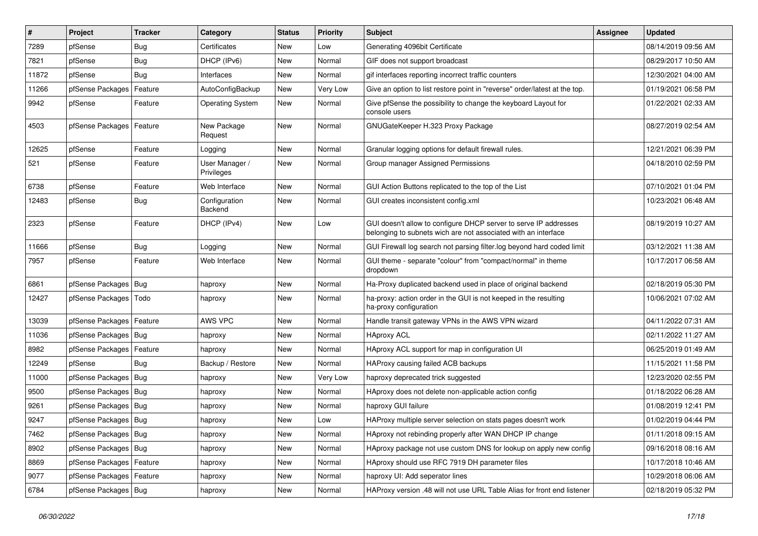| $\sharp$ | Project                    | <b>Tracker</b> | Category                     | <b>Status</b> | <b>Priority</b> | Subject                                                                                                                            | Assignee | <b>Updated</b>      |
|----------|----------------------------|----------------|------------------------------|---------------|-----------------|------------------------------------------------------------------------------------------------------------------------------------|----------|---------------------|
| 7289     | pfSense                    | <b>Bug</b>     | Certificates                 | New           | Low             | Generating 4096bit Certificate                                                                                                     |          | 08/14/2019 09:56 AM |
| 7821     | pfSense                    | Bug            | DHCP (IPv6)                  | <b>New</b>    | Normal          | GIF does not support broadcast                                                                                                     |          | 08/29/2017 10:50 AM |
| 11872    | pfSense                    | Bug            | Interfaces                   | New           | Normal          | gif interfaces reporting incorrect traffic counters                                                                                |          | 12/30/2021 04:00 AM |
| 11266    | pfSense Packages   Feature |                | AutoConfigBackup             | New           | Very Low        | Give an option to list restore point in "reverse" order/latest at the top.                                                         |          | 01/19/2021 06:58 PM |
| 9942     | pfSense                    | Feature        | <b>Operating System</b>      | New           | Normal          | Give pfSense the possibility to change the keyboard Layout for<br>console users                                                    |          | 01/22/2021 02:33 AM |
| 4503     | pfSense Packages   Feature |                | New Package<br>Request       | New           | Normal          | GNUGateKeeper H.323 Proxy Package                                                                                                  |          | 08/27/2019 02:54 AM |
| 12625    | pfSense                    | Feature        | Logging                      | New           | Normal          | Granular logging options for default firewall rules.                                                                               |          | 12/21/2021 06:39 PM |
| 521      | pfSense                    | Feature        | User Manager /<br>Privileges | New           | Normal          | Group manager Assigned Permissions                                                                                                 |          | 04/18/2010 02:59 PM |
| 6738     | pfSense                    | Feature        | Web Interface                | New           | Normal          | GUI Action Buttons replicated to the top of the List                                                                               |          | 07/10/2021 01:04 PM |
| 12483    | pfSense                    | <b>Bug</b>     | Configuration<br>Backend     | New           | Normal          | GUI creates inconsistent config.xml                                                                                                |          | 10/23/2021 06:48 AM |
| 2323     | pfSense                    | Feature        | DHCP (IPv4)                  | New           | Low             | GUI doesn't allow to configure DHCP server to serve IP addresses<br>belonging to subnets wich are not associated with an interface |          | 08/19/2019 10:27 AM |
| 11666    | pfSense                    | Bug            | Logging                      | New           | Normal          | GUI Firewall log search not parsing filter.log beyond hard coded limit                                                             |          | 03/12/2021 11:38 AM |
| 7957     | pfSense                    | Feature        | Web Interface                | New           | Normal          | GUI theme - separate "colour" from "compact/normal" in theme<br>dropdown                                                           |          | 10/17/2017 06:58 AM |
| 6861     | pfSense Packages   Bug     |                | haproxy                      | New           | Normal          | Ha-Proxy duplicated backend used in place of original backend                                                                      |          | 02/18/2019 05:30 PM |
| 12427    | pfSense Packages   Todo    |                | haproxy                      | New           | Normal          | ha-proxy: action order in the GUI is not keeped in the resulting<br>ha-proxy configuration                                         |          | 10/06/2021 07:02 AM |
| 13039    | pfSense Packages   Feature |                | AWS VPC                      | <b>New</b>    | Normal          | Handle transit gateway VPNs in the AWS VPN wizard                                                                                  |          | 04/11/2022 07:31 AM |
| 11036    | pfSense Packages   Bug     |                | haproxy                      | <b>New</b>    | Normal          | <b>HAproxy ACL</b>                                                                                                                 |          | 02/11/2022 11:27 AM |
| 8982     | pfSense Packages           | Feature        | haproxy                      | New           | Normal          | HAproxy ACL support for map in configuration UI                                                                                    |          | 06/25/2019 01:49 AM |
| 12249    | pfSense                    | Bug            | Backup / Restore             | New           | Normal          | HAProxy causing failed ACB backups                                                                                                 |          | 11/15/2021 11:58 PM |
| 11000    | pfSense Packages   Bug     |                | haproxy                      | New           | Very Low        | haproxy deprecated trick suggested                                                                                                 |          | 12/23/2020 02:55 PM |
| 9500     | pfSense Packages   Bug     |                | haproxy                      | New           | Normal          | HAproxy does not delete non-applicable action config                                                                               |          | 01/18/2022 06:28 AM |
| 9261     | pfSense Packages   Bug     |                | haproxy                      | New           | Normal          | haproxy GUI failure                                                                                                                |          | 01/08/2019 12:41 PM |
| 9247     | pfSense Packages   Bug     |                | haproxy                      | New           | Low             | HAProxy multiple server selection on stats pages doesn't work                                                                      |          | 01/02/2019 04:44 PM |
| 7462     | pfSense Packages   Bug     |                | haproxy                      | New           | Normal          | HAproxy not rebinding properly after WAN DHCP IP change                                                                            |          | 01/11/2018 09:15 AM |
| 8902     | pfSense Packages   Bug     |                | haproxy                      | New           | Normal          | HAproxy package not use custom DNS for lookup on apply new config                                                                  |          | 09/16/2018 08:16 AM |
| 8869     | pfSense Packages   Feature |                | haproxy                      | New           | Normal          | HAproxy should use RFC 7919 DH parameter files                                                                                     |          | 10/17/2018 10:46 AM |
| 9077     | pfSense Packages   Feature |                | haproxy                      | New           | Normal          | haproxy UI: Add seperator lines                                                                                                    |          | 10/29/2018 06:06 AM |
| 6784     | pfSense Packages   Bug     |                | haproxy                      | New           | Normal          | HAProxy version .48 will not use URL Table Alias for front end listener                                                            |          | 02/18/2019 05:32 PM |